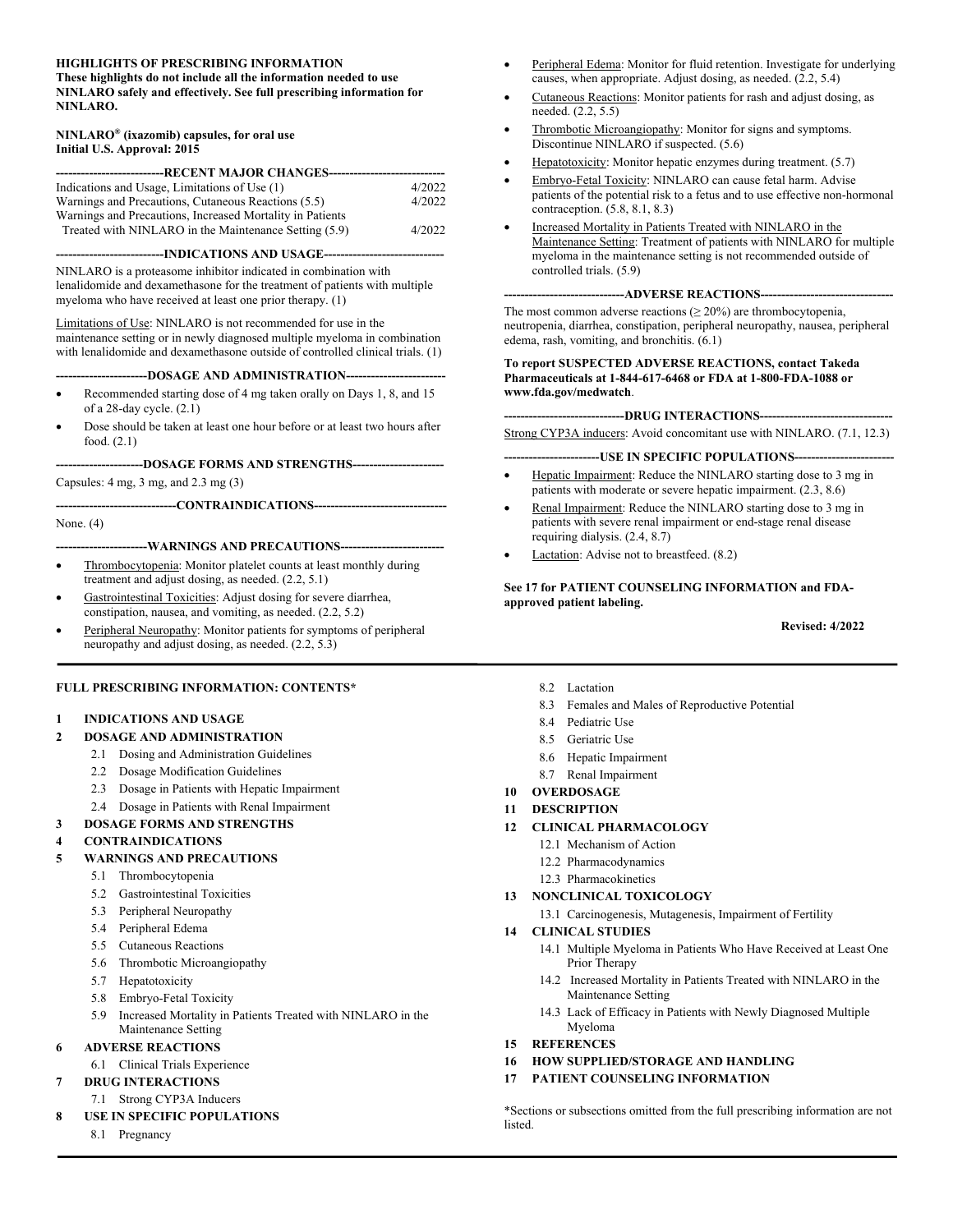#### **HIGHLIGHTS OF PRESCRIBING INFORMATION**

**These highlights do not include all the information needed to use NINLARO safely and effectively. See full prescribing information for NINLARO.** 

#### **NINLARO® (ixazomib) capsules, for oral use Initial U.S. Approval: 2015**

| -----------------------------RECENT MAJOR CHANGES------------------------ |        |
|---------------------------------------------------------------------------|--------|
| Indications and Usage, Limitations of Use (1)                             | 4/2022 |
| Warnings and Precautions, Cutaneous Reactions (5.5)                       | 4/2022 |
| Warnings and Precautions, Increased Mortality in Patients                 |        |
| Treated with NINLARO in the Maintenance Setting (5.9)                     | 4/2022 |

**--------------------------INDICATIONS AND USAGE-----------------------------** 

NINLARO is a proteasome inhibitor indicated in combination with lenalidomide and dexamethasone for the treatment of patients with multiple myeloma who have received at least one prior therapy. (1)

Limitations of Use: NINLARO is not recommended for use in the maintenance setting or in newly diagnosed multiple myeloma in combination with lenalidomide and dexamethasone outside of controlled clinical trials. (1)

#### ---DOSAGE AND ADMINISTRATION--

- Recommended starting dose of 4 mg taken orally on Days 1, 8, and 15 of a 28-day cycle. (2.1)
- Dose should be taken at least one hour before or at least two hours after food. (2.1)

**---------------------DOSAGE FORMS AND STRENGTHS----------------------** 

Capsules: 4 mg, 3 mg, and 2.3 mg (3)

**-----------------------------CONTRAINDICATIONS--------------------------------** 

None. (4)

---WARNINGS AND PRECAUTIONS----

- Thrombocytopenia: Monitor platelet counts at least monthly during treatment and adjust dosing, as needed. (2.2, 5.1)
- Gastrointestinal Toxicities: Adjust dosing for severe diarrhea, constipation, nausea, and vomiting, as needed. (2.2, 5.2)
- Peripheral Neuropathy: Monitor patients for symptoms of peripheral neuropathy and adjust dosing, as needed. (2.2, 5.3)

#### **FULL PRESCRIBING INFORMATION: CONTENTS\***

#### **1 INDICATIONS AND USAGE**

- **2 DOSAGE AND ADMINISTRATION** 
	- 2.1 Dosing and Administration Guidelines
	- 2.2 Dosage Modification Guidelines
	- 2.3 Dosage in Patients with Hepatic Impairment
	- 2.4 Dosage in Patients with Renal Impairment
- **3 DOSAGE FORMS AND STRENGTHS**

#### **4 CONTRAINDICATIONS**

- **5 WARNINGS AND PRECAUTIONS** 
	- 5.1 Thrombocytopenia
	- 5.2 Gastrointestinal Toxicities
	- 5.3 Peripheral Neuropathy
	- 5.4 Peripheral Edema
	- 5.5 Cutaneous Reactions
	- 5.6 Thrombotic Microangiopathy
	- 5.7 Hepatotoxicity
	- 5.8 Embryo-Fetal Toxicity
	- 5.9 Increased Mortality in Patients Treated with NINLARO in the
- Maintenance Setting **6 ADVERSE REACTIONS** 
	- 6.1 Clinical Trials Experience
- **7 DRUG INTERACTIONS**
- 7.1 Strong CYP3A Inducers
- **8 USE IN SPECIFIC POPULATIONS** 
	- 8.1 Pregnancy
- Peripheral Edema: Monitor for fluid retention. Investigate for underlying causes, when appropriate. Adjust dosing, as needed. (2.2, 5.4)
- Cutaneous Reactions: Monitor patients for rash and adjust dosing, as needed. (2.2, 5.5)
- Thrombotic Microangiopathy: Monitor for signs and symptoms. Discontinue NINLARO if suspected. (5.6)
- Hepatotoxicity: Monitor hepatic enzymes during treatment. (5.7)
- Embryo-Fetal Toxicity: NINLARO can cause fetal harm. Advise patients of the potential risk to a fetus and to use effective non-hormonal contraception. (5.8, 8.1, 8.3)
- Increased Mortality in Patients Treated with NINLARO in the Maintenance Setting: Treatment of patients with NINLARO for multiple myeloma in the maintenance setting is not recommended outside of controlled trials. (5.9)

#### ----ADVERSE REACTIONS-----

The most common adverse reactions ( $\geq 20\%$ ) are thrombocytopenia, neutropenia, diarrhea, constipation, peripheral neuropathy, nausea, peripheral edema, rash, vomiting, and bronchitis. (6.1)

#### **To report SUSPECTED ADVERSE REACTIONS, contact Takeda Pharmaceuticals at 1-844-617-6468 or FDA at 1-800-FDA-1088 or www.fda.gov/medwatch**.

**-----------------------------DRUG INTERACTIONS--------------------------------** 

Strong CYP3A inducers: Avoid concomitant use with NINLARO. (7.1, 12.3)

#### --USE IN SPECIFIC POPULATIONS---

- Hepatic Impairment: Reduce the NINLARO starting dose to 3 mg in patients with moderate or severe hepatic impairment. (2.3, 8.6)
- Renal Impairment: Reduce the NINLARO starting dose to 3 mg in patients with severe renal impairment or end-stage renal disease requiring dialysis. (2.4, 8.7)
- Lactation: Advise not to breastfeed. (8.2)

**See 17 for PATIENT COUNSELING INFORMATION and FDAapproved patient labeling.** 

#### **Revised: 4/2022**

- 8.2 Lactation
- 8.3 Females and Males of Reproductive Potential
- 8.4 Pediatric Use
- 8.5 Geriatric Use
- 8.6 Hepatic Impairment
- 8.7 Renal Impairment
- **10 OVERDOSAGE**
- **11 DESCRIPTION**
- **12 CLINICAL PHARMACOLOGY** 
	- 12.1 Mechanism of Action
	- 12.2 Pharmacodynamics
	- 12.3 Pharmacokinetics
- **13 NONCLINICAL TOXICOLOGY** 
	- 13.1 Carcinogenesis, Mutagenesis, Impairment of Fertility

#### **14 CLINICAL STUDIES**

- 14.1 Multiple Myeloma in Patients Who Have Received at Least One Prior Therapy
- 14.2 Increased Mortality in Patients Treated with NINLARO in the Maintenance Setting
- 14.3 Lack of Efficacy in Patients with Newly Diagnosed Multiple Myeloma
- **15 REFERENCES**
- **16 HOW SUPPLIED/STORAGE AND HANDLING**
- **17 PATIENT COUNSELING INFORMATION**

\*Sections or subsections omitted from the full prescribing information are not listed.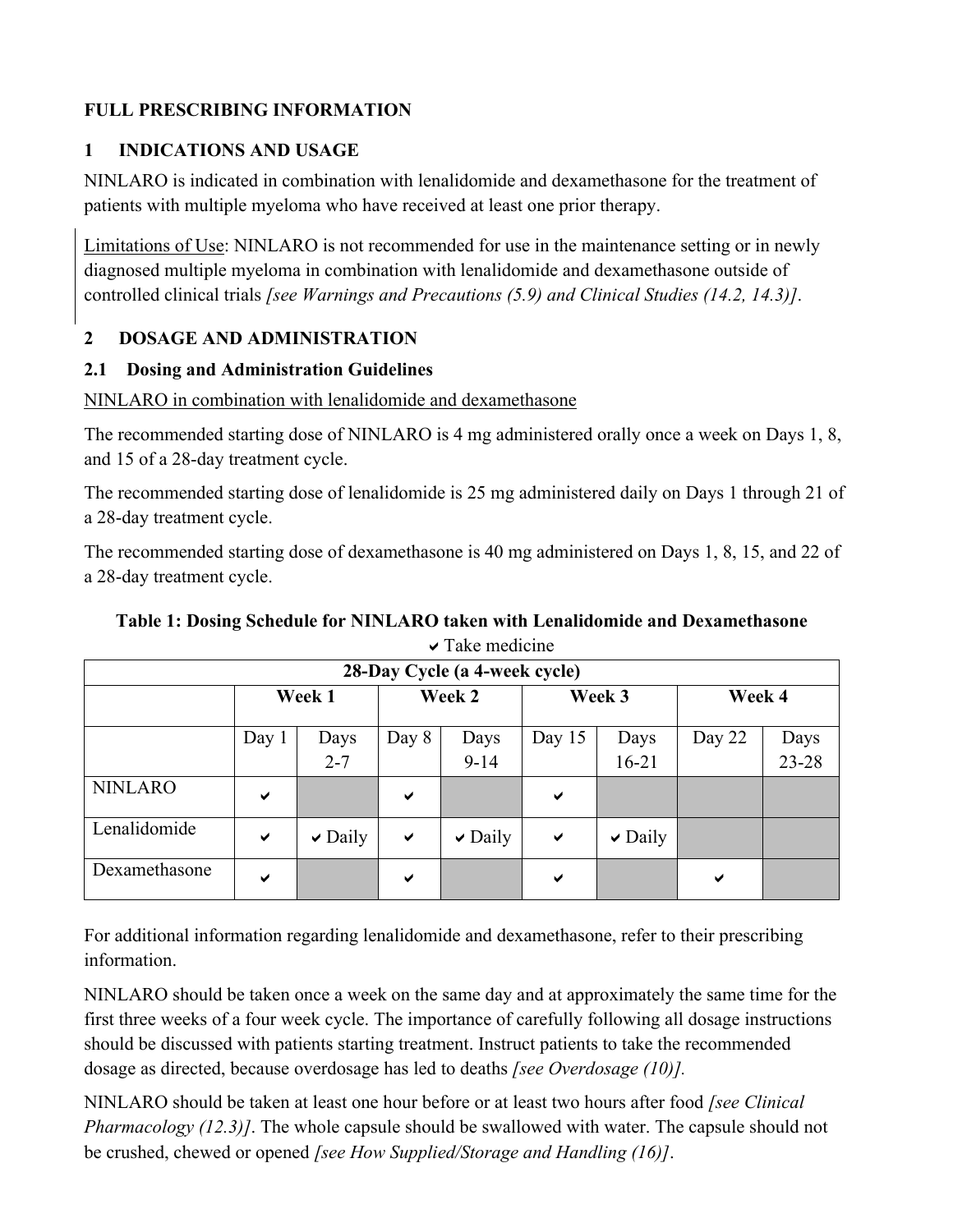## **FULL PRESCRIBING INFORMATION**

## **1 INDICATIONS AND USAGE**

NINLARO is indicated in combination with lenalidomide and dexamethasone for the treatment of patients with multiple myeloma who have received at least one prior therapy.

Limitations of Use: NINLARO is not recommended for use in the maintenance setting or in newly diagnosed multiple myeloma in combination with lenalidomide and dexamethasone outside of controlled clinical trials *[see Warnings and Precautions (5.9) and Clinical Studies (14.2, 14.3)]*.

## **2 DOSAGE AND ADMINISTRATION**

## **2.1 Dosing and Administration Guidelines**

NINLARO in combination with lenalidomide and dexamethasone

The recommended starting dose of NINLARO is 4 mg administered orally once a week on Days 1, 8, and 15 of a 28-day treatment cycle.

The recommended starting dose of lenalidomide is 25 mg administered daily on Days 1 through 21 of a 28-day treatment cycle.

The recommended starting dose of dexamethasone is 40 mg administered on Days 1, 8, 15, and 22 of a 28-day treatment cycle.

| T aive theater the            |              |              |              |              |              |              |        |       |
|-------------------------------|--------------|--------------|--------------|--------------|--------------|--------------|--------|-------|
| 28-Day Cycle (a 4-week cycle) |              |              |              |              |              |              |        |       |
|                               | Week 1       |              | Week 2       |              | Week 3       |              | Week 4 |       |
|                               | Day $1$      | Days         | Day 8        | Days         | Day $15$     | Days         | Day 22 | Days  |
|                               |              | $2 - 7$      |              | $9 - 14$     |              | $16 - 21$    |        | 23-28 |
| <b>NINLARO</b>                | ✔            |              | ✔            |              | $\checkmark$ |              |        |       |
| Lenalidomide                  | $\checkmark$ | $\vee$ Daily | $\checkmark$ | $\vee$ Daily | $\checkmark$ | $\vee$ Daily |        |       |
| Dexamethasone                 | ✔            |              | ✔            |              | ✔            |              | ✔      |       |

## **Table 1: Dosing Schedule for NINLARO taken with Lenalidomide and Dexamethasone**  Take medicine

For additional information regarding lenalidomide and dexamethasone, refer to their prescribing information.

NINLARO should be taken once a week on the same day and at approximately the same time for the first three weeks of a four week cycle. The importance of carefully following all dosage instructions should be discussed with patients starting treatment. Instruct patients to take the recommended dosage as directed, because overdosage has led to deaths *[see Overdosage (10)].* 

NINLARO should be taken at least one hour before or at least two hours after food *[see Clinical Pharmacology (12.3)]*. The whole capsule should be swallowed with water. The capsule should not be crushed, chewed or opened *[see How Supplied/Storage and Handling (16)]*.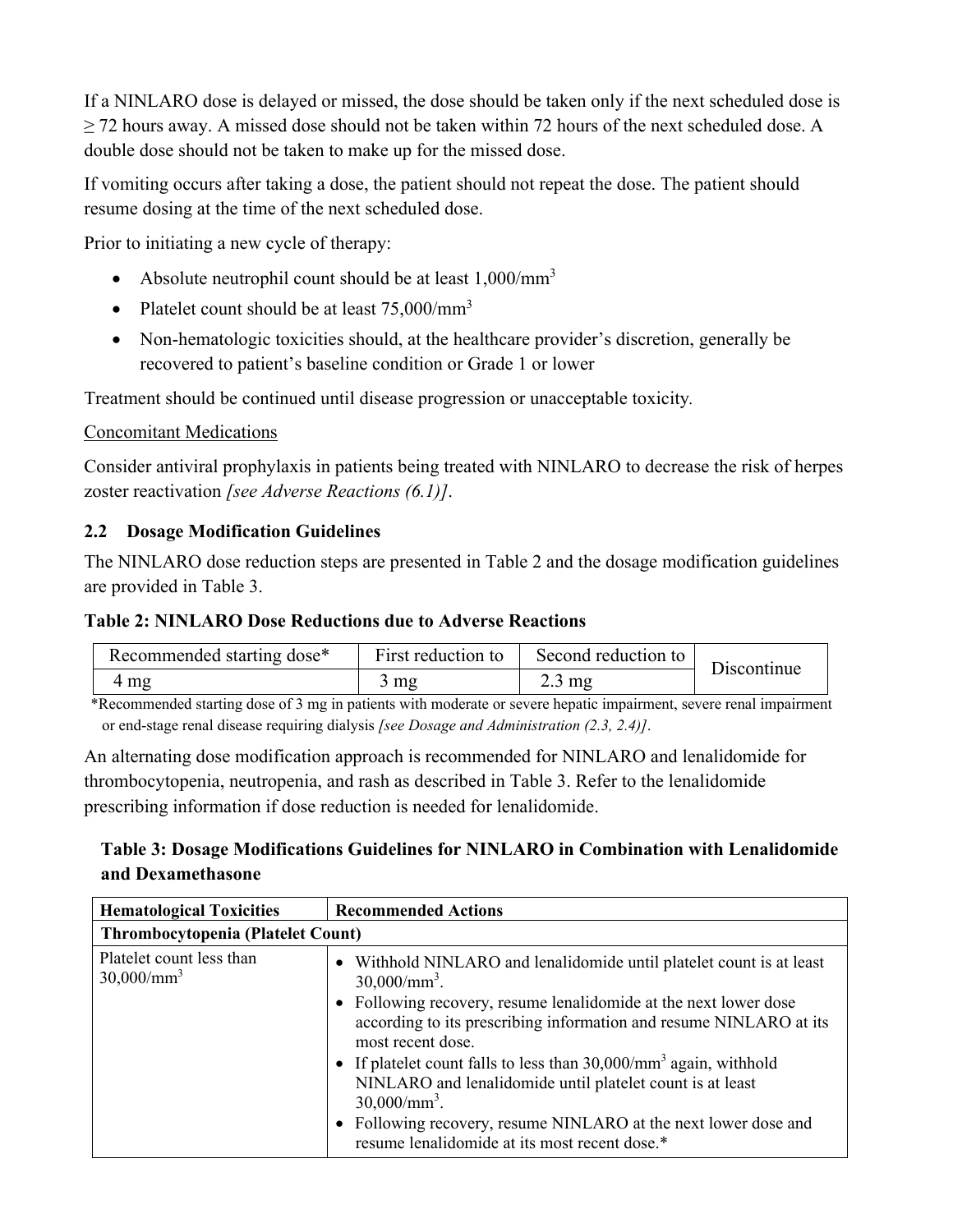If a NINLARO dose is delayed or missed, the dose should be taken only if the next scheduled dose is  $\geq$  72 hours away. A missed dose should not be taken within 72 hours of the next scheduled dose. A double dose should not be taken to make up for the missed dose.

If vomiting occurs after taking a dose, the patient should not repeat the dose. The patient should resume dosing at the time of the next scheduled dose.

Prior to initiating a new cycle of therapy:

- Absolute neutrophil count should be at least  $1,000/\text{mm}^3$
- Platelet count should be at least  $75,000/\text{mm}^3$
- Non-hematologic toxicities should, at the healthcare provider's discretion, generally be recovered to patient's baseline condition or Grade 1 or lower

Treatment should be continued until disease progression or unacceptable toxicity*.* 

### Concomitant Medications

Consider antiviral prophylaxis in patients being treated with NINLARO to decrease the risk of herpes zoster reactivation *[see Adverse Reactions (6.1)]*.

### **2.2 Dosage Modification Guidelines**

The NINLARO dose reduction steps are presented in Table 2 and the dosage modification guidelines are provided in Table 3.

#### **Table 2: NINLARO Dose Reductions due to Adverse Reactions**

| Recommended starting dose* | First reduction to | Second reduction to | Discontinue |
|----------------------------|--------------------|---------------------|-------------|
| 4 mg                       | $3 \text{ mg}$     | $2.3 \text{ mg}$    |             |

\*Recommended starting dose of 3 mg in patients with moderate or severe hepatic impairment, severe renal impairment or end-stage renal disease requiring dialysis *[see Dosage and Administration (2.3, 2.4)]*.

An alternating dose modification approach is recommended for NINLARO and lenalidomide for thrombocytopenia, neutropenia, and rash as described in Table 3. Refer to the lenalidomide prescribing information if dose reduction is needed for lenalidomide.

# **Table 3: Dosage Modifications Guidelines for NINLARO in Combination with Lenalidomide and Dexamethasone**

| <b>Hematological Toxicities</b>                  | <b>Recommended Actions</b>                                                                                                                                                                                                                                                                                |  |  |  |  |  |
|--------------------------------------------------|-----------------------------------------------------------------------------------------------------------------------------------------------------------------------------------------------------------------------------------------------------------------------------------------------------------|--|--|--|--|--|
|                                                  | <b>Thrombocytopenia (Platelet Count)</b>                                                                                                                                                                                                                                                                  |  |  |  |  |  |
| Platelet count less than<br>$30,000/\text{mm}^3$ | Withhold NINLARO and lenalidomide until platelet count is at least<br>$30,000/\text{mm}^3$ .<br>• Following recovery, resume lenalidomide at the next lower dose<br>according to its prescribing information and resume NINLARO at its                                                                    |  |  |  |  |  |
|                                                  | most recent dose.<br>• If platelet count falls to less than $30,000/\text{mm}^3$ again, withhold<br>NINLARO and lenalidomide until platelet count is at least<br>$30,000/\text{mm}^3$ .<br>Following recovery, resume NINLARO at the next lower dose and<br>resume lenalidomide at its most recent dose.* |  |  |  |  |  |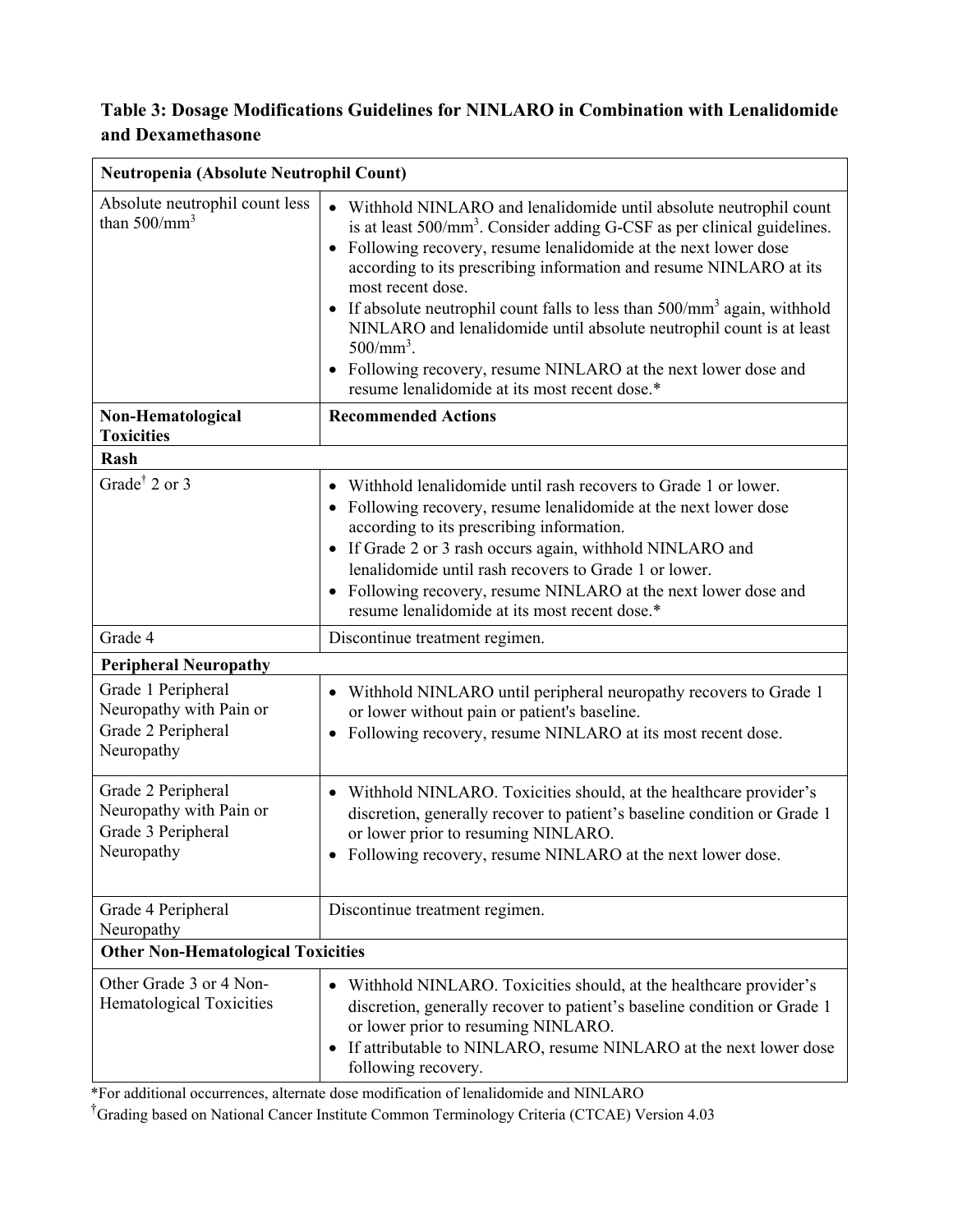## **Table 3: Dosage Modifications Guidelines for NINLARO in Combination with Lenalidomide and Dexamethasone**

| Neutropenia (Absolute Neutrophil Count)                                           |                                                                                                                                                                                                                                                                                                                                                                                                                                                                                                                                                                                                                                  |  |  |  |
|-----------------------------------------------------------------------------------|----------------------------------------------------------------------------------------------------------------------------------------------------------------------------------------------------------------------------------------------------------------------------------------------------------------------------------------------------------------------------------------------------------------------------------------------------------------------------------------------------------------------------------------------------------------------------------------------------------------------------------|--|--|--|
| Absolute neutrophil count less<br>than $500/mm^3$                                 | • Withhold NINLARO and lenalidomide until absolute neutrophil count<br>is at least 500/mm <sup>3</sup> . Consider adding G-CSF as per clinical guidelines.<br>Following recovery, resume lenalidomide at the next lower dose<br>$\bullet$<br>according to its prescribing information and resume NINLARO at its<br>most recent dose.<br>• If absolute neutrophil count falls to less than $500/mm^3$ again, withhold<br>NINLARO and lenalidomide until absolute neutrophil count is at least<br>$500/mm^3$ .<br>• Following recovery, resume NINLARO at the next lower dose and<br>resume lenalidomide at its most recent dose.* |  |  |  |
| Non-Hematological<br><b>Toxicities</b>                                            | <b>Recommended Actions</b>                                                                                                                                                                                                                                                                                                                                                                                                                                                                                                                                                                                                       |  |  |  |
| Rash                                                                              |                                                                                                                                                                                                                                                                                                                                                                                                                                                                                                                                                                                                                                  |  |  |  |
| Grade <sup>†</sup> 2 or 3                                                         | Withhold lenalidomide until rash recovers to Grade 1 or lower.<br>Following recovery, resume lenalidomide at the next lower dose<br>according to its prescribing information.<br>• If Grade 2 or 3 rash occurs again, withhold NINLARO and<br>lenalidomide until rash recovers to Grade 1 or lower.<br>• Following recovery, resume NINLARO at the next lower dose and<br>resume lenalidomide at its most recent dose.*                                                                                                                                                                                                          |  |  |  |
| Grade 4                                                                           | Discontinue treatment regimen.                                                                                                                                                                                                                                                                                                                                                                                                                                                                                                                                                                                                   |  |  |  |
| <b>Peripheral Neuropathy</b>                                                      |                                                                                                                                                                                                                                                                                                                                                                                                                                                                                                                                                                                                                                  |  |  |  |
| Grade 1 Peripheral<br>Neuropathy with Pain or<br>Grade 2 Peripheral<br>Neuropathy | Withhold NINLARO until peripheral neuropathy recovers to Grade 1<br>or lower without pain or patient's baseline.<br>Following recovery, resume NINLARO at its most recent dose.<br>$\bullet$                                                                                                                                                                                                                                                                                                                                                                                                                                     |  |  |  |
| Grade 2 Peripheral<br>Neuropathy with Pain or<br>Grade 3 Peripheral<br>Neuropathy | • Withhold NINLARO. Toxicities should, at the healthcare provider's<br>discretion, generally recover to patient's baseline condition or Grade 1<br>or lower prior to resuming NINLARO.<br>• Following recovery, resume NINLARO at the next lower dose.                                                                                                                                                                                                                                                                                                                                                                           |  |  |  |
| Grade 4 Peripheral<br>Neuropathy                                                  | Discontinue treatment regimen.                                                                                                                                                                                                                                                                                                                                                                                                                                                                                                                                                                                                   |  |  |  |
| <b>Other Non-Hematological Toxicities</b>                                         |                                                                                                                                                                                                                                                                                                                                                                                                                                                                                                                                                                                                                                  |  |  |  |
| Other Grade 3 or 4 Non-<br>Hematological Toxicities                               | Withhold NINLARO. Toxicities should, at the healthcare provider's<br>$\bullet$<br>discretion, generally recover to patient's baseline condition or Grade 1<br>or lower prior to resuming NINLARO.<br>If attributable to NINLARO, resume NINLARO at the next lower dose<br>$\bullet$<br>following recovery.                                                                                                                                                                                                                                                                                                                       |  |  |  |

\*For additional occurrences, alternate dose modification of lenalidomide and NINLARO

† Grading based on National Cancer Institute Common Terminology Criteria (CTCAE) Version 4.03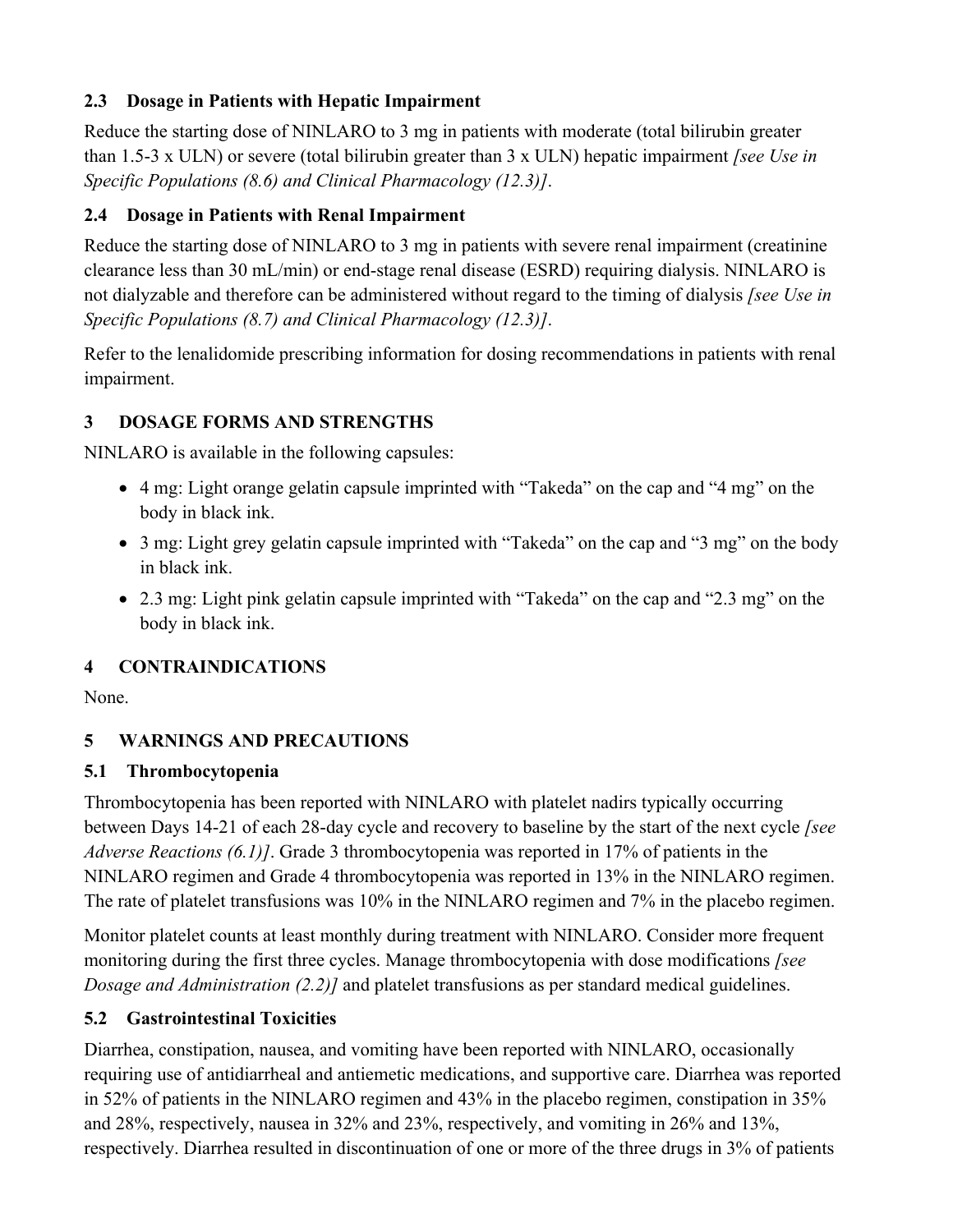## **2.3 Dosage in Patients with Hepatic Impairment**

Reduce the starting dose of NINLARO to 3 mg in patients with moderate (total bilirubin greater than 1.5-3 x ULN) or severe (total bilirubin greater than 3 x ULN) hepatic impairment *[see Use in Specific Populations (8.6) and Clinical Pharmacology (12.3)]*.

## **2.4 Dosage in Patients with Renal Impairment**

Reduce the starting dose of NINLARO to 3 mg in patients with severe renal impairment (creatinine clearance less than 30 mL/min) or end-stage renal disease (ESRD) requiring dialysis. NINLARO is not dialyzable and therefore can be administered without regard to the timing of dialysis *[see Use in Specific Populations (8.7) and Clinical Pharmacology (12.3)]*.

Refer to the lenalidomide prescribing information for dosing recommendations in patients with renal impairment.

## **3 DOSAGE FORMS AND STRENGTHS**

NINLARO is available in the following capsules:

- 4 mg: Light orange gelatin capsule imprinted with "Takeda" on the cap and "4 mg" on the body in black ink.
- 3 mg: Light grey gelatin capsule imprinted with "Takeda" on the cap and "3 mg" on the body in black ink.
- 2.3 mg: Light pink gelatin capsule imprinted with "Takeda" on the cap and "2.3 mg" on the body in black ink.

# **4 CONTRAINDICATIONS**

None.

# **5 WARNINGS AND PRECAUTIONS**

# **5.1 Thrombocytopenia**

Thrombocytopenia has been reported with NINLARO with platelet nadirs typically occurring between Days 14-21 of each 28-day cycle and recovery to baseline by the start of the next cycle *[see Adverse Reactions (6.1)]*. Grade 3 thrombocytopenia was reported in 17% of patients in the NINLARO regimen and Grade 4 thrombocytopenia was reported in 13% in the NINLARO regimen. The rate of platelet transfusions was 10% in the NINLARO regimen and 7% in the placebo regimen.

Monitor platelet counts at least monthly during treatment with NINLARO. Consider more frequent monitoring during the first three cycles. Manage thrombocytopenia with dose modifications *[see Dosage and Administration (2.2)]* and platelet transfusions as per standard medical guidelines.

# **5.2 Gastrointestinal Toxicities**

Diarrhea, constipation, nausea, and vomiting have been reported with NINLARO, occasionally requiring use of antidiarrheal and antiemetic medications, and supportive care. Diarrhea was reported in 52% of patients in the NINLARO regimen and 43% in the placebo regimen, constipation in 35% and 28%, respectively, nausea in 32% and 23%, respectively, and vomiting in 26% and 13%, respectively. Diarrhea resulted in discontinuation of one or more of the three drugs in 3% of patients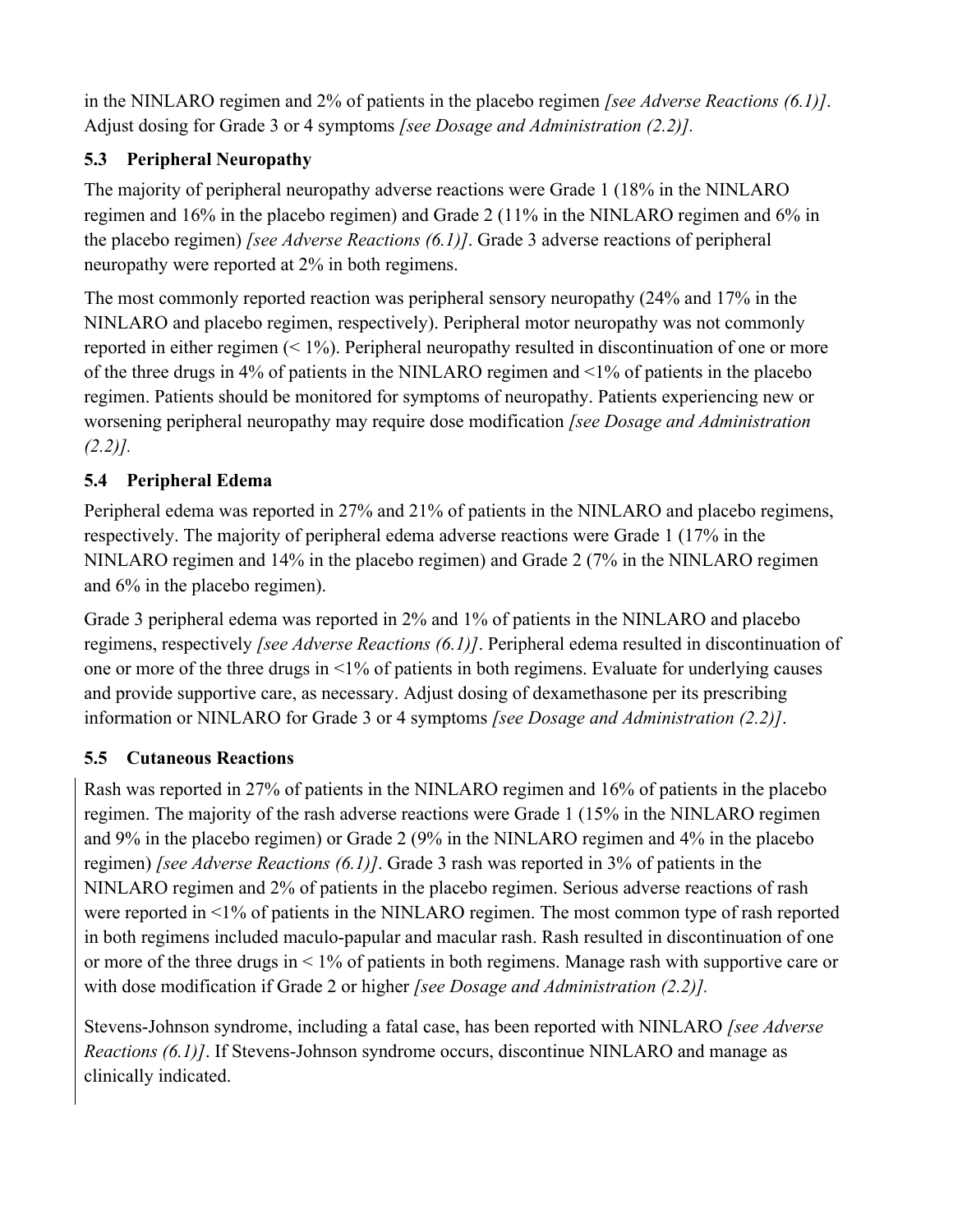in the NINLARO regimen and 2% of patients in the placebo regimen *[see Adverse Reactions (6.1)]*. Adjust dosing for Grade 3 or 4 symptoms *[see Dosage and Administration (2.2)].* 

# **5.3 Peripheral Neuropathy**

The majority of peripheral neuropathy adverse reactions were Grade 1 (18% in the NINLARO regimen and 16% in the placebo regimen) and Grade 2 (11% in the NINLARO regimen and 6% in the placebo regimen) *[see Adverse Reactions (6.1)]*. Grade 3 adverse reactions of peripheral neuropathy were reported at 2% in both regimens.

The most commonly reported reaction was peripheral sensory neuropathy (24% and 17% in the NINLARO and placebo regimen, respectively). Peripheral motor neuropathy was not commonly reported in either regimen (< 1%). Peripheral neuropathy resulted in discontinuation of one or more of the three drugs in 4% of patients in the NINLARO regimen and <1% of patients in the placebo regimen. Patients should be monitored for symptoms of neuropathy. Patients experiencing new or worsening peripheral neuropathy may require dose modification *[see Dosage and Administration (2.2)].* 

# **5.4 Peripheral Edema**

Peripheral edema was reported in 27% and 21% of patients in the NINLARO and placebo regimens, respectively. The majority of peripheral edema adverse reactions were Grade 1 (17% in the NINLARO regimen and 14% in the placebo regimen) and Grade 2 (7% in the NINLARO regimen and 6% in the placebo regimen).

Grade 3 peripheral edema was reported in 2% and 1% of patients in the NINLARO and placebo regimens, respectively *[see Adverse Reactions (6.1)]*. Peripheral edema resulted in discontinuation of one or more of the three drugs in <1% of patients in both regimens. Evaluate for underlying causes and provide supportive care, as necessary. Adjust dosing of dexamethasone per its prescribing information or NINLARO for Grade 3 or 4 symptoms *[see Dosage and Administration (2.2)]*.

# **5.5 Cutaneous Reactions**

Rash was reported in 27% of patients in the NINLARO regimen and 16% of patients in the placebo regimen. The majority of the rash adverse reactions were Grade 1 (15% in the NINLARO regimen and 9% in the placebo regimen) or Grade 2 (9% in the NINLARO regimen and 4% in the placebo regimen) *[see Adverse Reactions (6.1)]*. Grade 3 rash was reported in 3% of patients in the NINLARO regimen and 2% of patients in the placebo regimen. Serious adverse reactions of rash were reported in <1% of patients in the NINLARO regimen. The most common type of rash reported in both regimens included maculo-papular and macular rash. Rash resulted in discontinuation of one or more of the three drugs in < 1% of patients in both regimens. Manage rash with supportive care or with dose modification if Grade 2 or higher *[see Dosage and Administration (2.2)].*

Stevens-Johnson syndrome, including a fatal case, has been reported with NINLARO *[see Adverse Reactions (6.1)]*. If Stevens-Johnson syndrome occurs, discontinue NINLARO and manage as clinically indicated.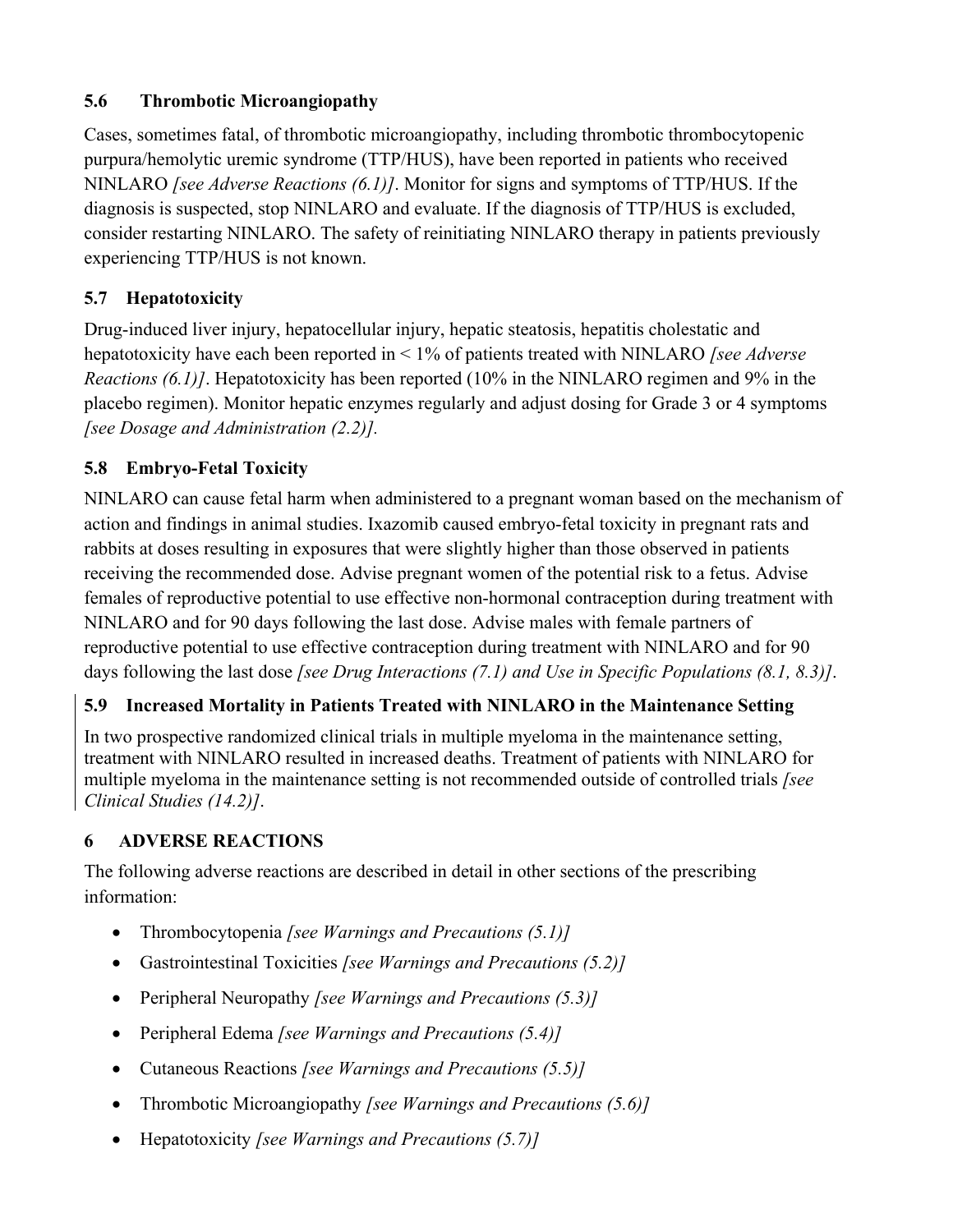## **5.6 Thrombotic Microangiopathy**

Cases, sometimes fatal, of thrombotic microangiopathy, including thrombotic thrombocytopenic purpura/hemolytic uremic syndrome (TTP/HUS), have been reported in patients who received NINLARO *[see Adverse Reactions (6.1)]*. Monitor for signs and symptoms of TTP/HUS. If the diagnosis is suspected, stop NINLARO and evaluate. If the diagnosis of TTP/HUS is excluded, consider restarting NINLARO. The safety of reinitiating NINLARO therapy in patients previously experiencing TTP/HUS is not known.

## **5.7 Hepatotoxicity**

Drug-induced liver injury, hepatocellular injury, hepatic steatosis, hepatitis cholestatic and hepatotoxicity have each been reported in < 1% of patients treated with NINLARO *[see Adverse Reactions (6.1)]*. Hepatotoxicity has been reported (10% in the NINLARO regimen and 9% in the placebo regimen). Monitor hepatic enzymes regularly and adjust dosing for Grade 3 or 4 symptoms *[see Dosage and Administration (2.2)].*

## **5.8 Embryo-Fetal Toxicity**

NINLARO can cause fetal harm when administered to a pregnant woman based on the mechanism of action and findings in animal studies. Ixazomib caused embryo-fetal toxicity in pregnant rats and rabbits at doses resulting in exposures that were slightly higher than those observed in patients receiving the recommended dose. Advise pregnant women of the potential risk to a fetus. Advise females of reproductive potential to use effective non-hormonal contraception during treatment with NINLARO and for 90 days following the last dose. Advise males with female partners of reproductive potential to use effective contraception during treatment with NINLARO and for 90 days following the last dose *[see Drug Interactions (7.1) and Use in Specific Populations (8.1, 8.3)]*.

# **5.9 Increased Mortality in Patients Treated with NINLARO in the Maintenance Setting**

In two prospective randomized clinical trials in multiple myeloma in the maintenance setting, treatment with NINLARO resulted in increased deaths. Treatment of patients with NINLARO for multiple myeloma in the maintenance setting is not recommended outside of controlled trials *[see Clinical Studies (14.2)]*.

# **6 ADVERSE REACTIONS**

The following adverse reactions are described in detail in other sections of the prescribing information:

- Thrombocytopenia *[see Warnings and Precautions (5.1)]*
- Gastrointestinal Toxicities *[see Warnings and Precautions (5.2)]*
- Peripheral Neuropathy *[see Warnings and Precautions (5.3)]*
- Peripheral Edema *[see Warnings and Precautions (5.4)]*
- Cutaneous Reactions *[see Warnings and Precautions (5.5)]*
- Thrombotic Microangiopathy *[see Warnings and Precautions (5.6)]*
- Hepatotoxicity *[see Warnings and Precautions (5.7)]*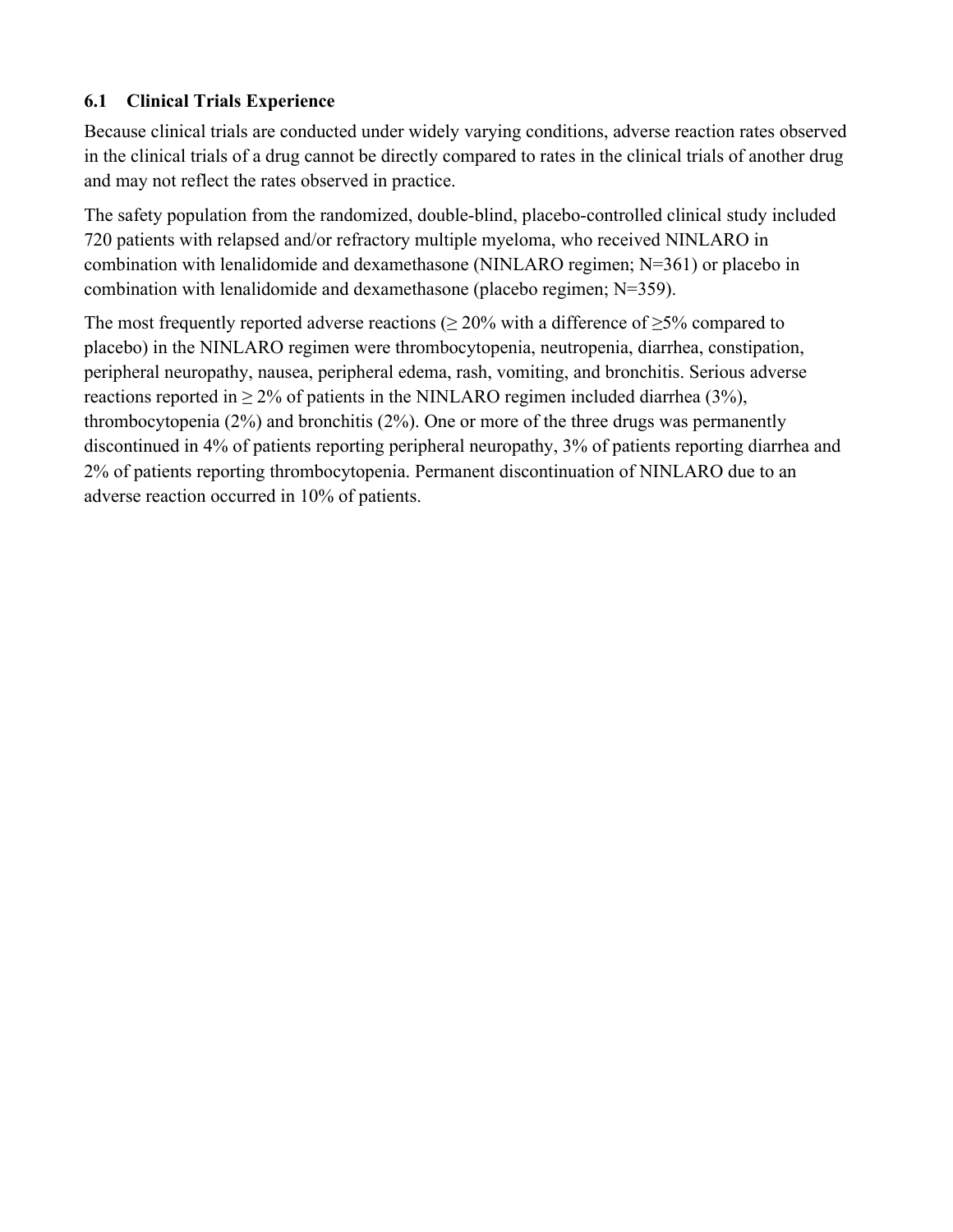## **6.1 Clinical Trials Experience**

Because clinical trials are conducted under widely varying conditions, adverse reaction rates observed in the clinical trials of a drug cannot be directly compared to rates in the clinical trials of another drug and may not reflect the rates observed in practice.

The safety population from the randomized, double-blind, placebo-controlled clinical study included 720 patients with relapsed and/or refractory multiple myeloma, who received NINLARO in combination with lenalidomide and dexamethasone (NINLARO regimen; N=361) or placebo in combination with lenalidomide and dexamethasone (placebo regimen; N=359).

The most frequently reported adverse reactions ( $\geq$  20% with a difference of  $\geq$ 5% compared to placebo) in the NINLARO regimen were thrombocytopenia, neutropenia, diarrhea, constipation, peripheral neuropathy, nausea, peripheral edema, rash, vomiting, and bronchitis. Serious adverse reactions reported in  $\geq 2\%$  of patients in the NINLARO regimen included diarrhea (3%), thrombocytopenia (2%) and bronchitis (2%). One or more of the three drugs was permanently discontinued in 4% of patients reporting peripheral neuropathy, 3% of patients reporting diarrhea and 2% of patients reporting thrombocytopenia. Permanent discontinuation of NINLARO due to an adverse reaction occurred in 10% of patients.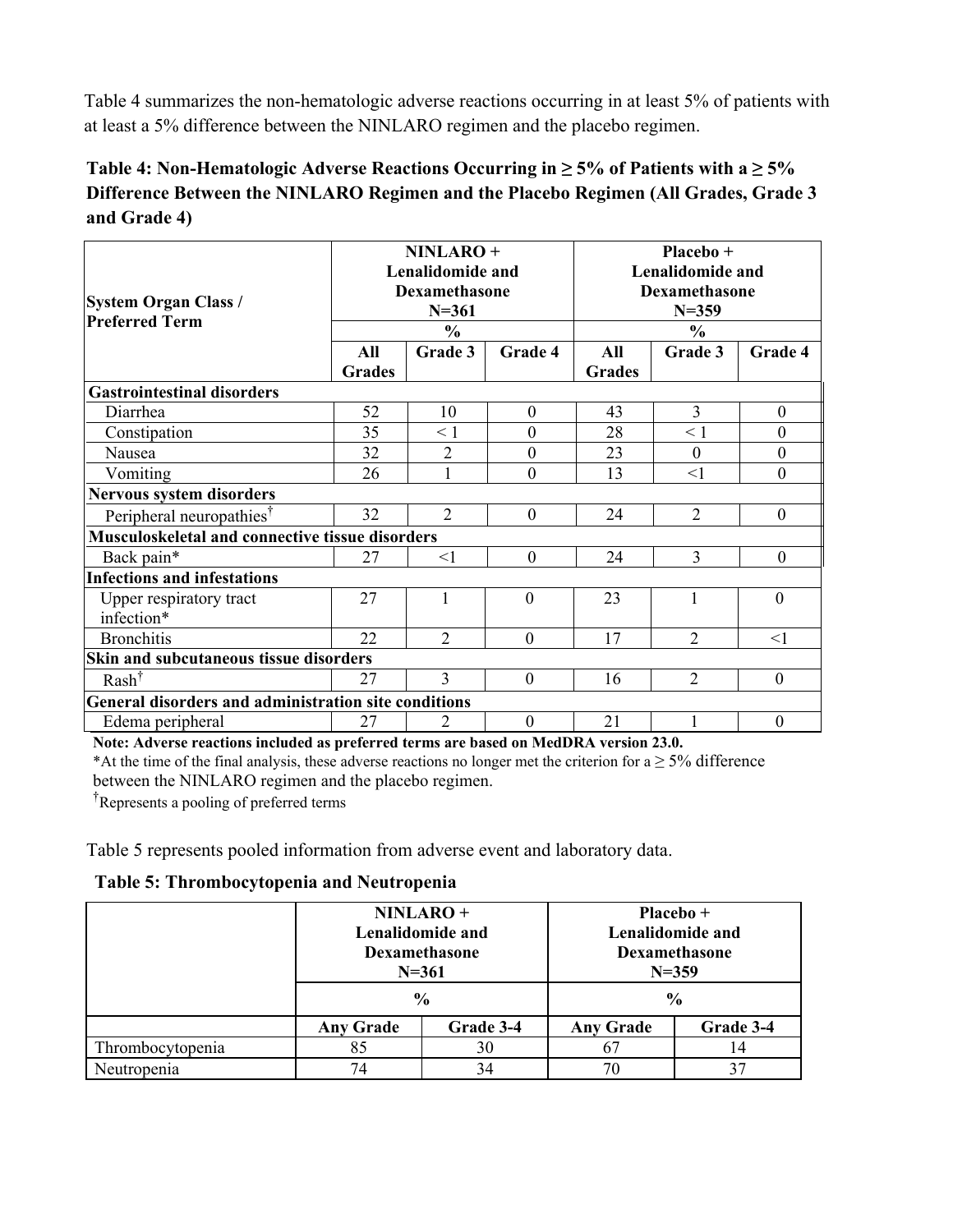Table 4 summarizes the non-hematologic adverse reactions occurring in at least 5% of patients with at least a 5% difference between the NINLARO regimen and the placebo regimen.

## Table 4: Non-Hematologic Adverse Reactions Occurring in  $≥$  5% of Patients with a  $≥$  5% **Difference Between the NINLARO Regimen and the Placebo Regimen (All Grades, Grade 3 and Grade 4)**

| <b>System Organ Class /</b><br><b>Preferred Term</b>   | NINLARO+<br><b>Lenalidomide and</b><br>Dexamethasone<br>$N = 361$<br>$\frac{0}{0}$<br>All<br>Grade 3<br>Grade 4<br><b>Grades</b> |                |                | Placebo +<br><b>Lenalidomide and</b><br><b>Dexamethasone</b><br>$N = 359$<br>$\frac{0}{0}$<br>All<br>Grade 4<br>Grade 3<br><b>Grades</b> |                |                  |  |
|--------------------------------------------------------|----------------------------------------------------------------------------------------------------------------------------------|----------------|----------------|------------------------------------------------------------------------------------------------------------------------------------------|----------------|------------------|--|
| <b>Gastrointestinal disorders</b>                      |                                                                                                                                  |                |                |                                                                                                                                          |                |                  |  |
| Diarrhea                                               | 52                                                                                                                               | 10             | $\theta$       | 43                                                                                                                                       | 3              | $\boldsymbol{0}$ |  |
| Constipation                                           | 35                                                                                                                               | $\leq$ 1       | $\theta$       | 28                                                                                                                                       | $\leq 1$       | $\theta$         |  |
| Nausea                                                 | 32                                                                                                                               | 2              | $\overline{0}$ | 23                                                                                                                                       | $\mathbf{0}$   | $\boldsymbol{0}$ |  |
| Vomiting                                               | 26                                                                                                                               |                | $\overline{0}$ | 13                                                                                                                                       | $<$ 1          | $\mathbf{0}$     |  |
| <b>Nervous system disorders</b>                        |                                                                                                                                  |                |                |                                                                                                                                          |                |                  |  |
| Peripheral neuropathies <sup>†</sup>                   | 32                                                                                                                               | $\overline{2}$ | $\theta$       | 24                                                                                                                                       | $\overline{2}$ | $\theta$         |  |
| <b>Musculoskeletal and connective tissue disorders</b> |                                                                                                                                  |                |                |                                                                                                                                          |                |                  |  |
| Back pain*                                             | 27                                                                                                                               | $<$ 1          | $\mathbf{0}$   | 24                                                                                                                                       | 3              | $\theta$         |  |
| <b>Infections and infestations</b>                     |                                                                                                                                  |                |                |                                                                                                                                          |                |                  |  |
| Upper respiratory tract<br>infection*                  | 27                                                                                                                               | $\mathbf{1}$   | $\theta$       | 23                                                                                                                                       | 1              | $\theta$         |  |
| <b>Bronchitis</b>                                      | 22                                                                                                                               | $\overline{2}$ | $\theta$       | 17                                                                                                                                       | $\overline{2}$ | $\leq$ 1         |  |
| Skin and subcutaneous tissue disorders                 |                                                                                                                                  |                |                |                                                                                                                                          |                |                  |  |
| $Rash^{\dagger}$                                       | 27                                                                                                                               | 3              | $\Omega$       | 16                                                                                                                                       | $\overline{2}$ | $\Omega$         |  |
| General disorders and administration site conditions   |                                                                                                                                  |                |                |                                                                                                                                          |                |                  |  |
| Edema peripheral                                       | 27                                                                                                                               | 2              | $\theta$       | 21                                                                                                                                       |                | $\theta$         |  |

**Note: Adverse reactions included as preferred terms are based on MedDRA version 23.0.** 

\*At the time of the final analysis, these adverse reactions no longer met the criterion for  $a \geq 5\%$  difference between the NINLARO regimen and the placebo regimen.

† Represents a pooling of preferred terms

Table 5 represents pooled information from adverse event and laboratory data.

#### **Table 5: Thrombocytopenia and Neutropenia**

|                  | NINLARO+<br>Lenalidomide and<br>Dexamethasone<br>$N = 361$ |    |                  |           |  | Placebo +<br>Lenalidomide and<br>Dexamethasone<br>$N = 359$ |
|------------------|------------------------------------------------------------|----|------------------|-----------|--|-------------------------------------------------------------|
|                  | $\frac{0}{0}$                                              |    | $\frac{0}{0}$    |           |  |                                                             |
|                  | Grade 3-4<br><b>Any Grade</b>                              |    | <b>Any Grade</b> | Grade 3-4 |  |                                                             |
| Thrombocytopenia | 85                                                         | 30 | <sub>0</sub>     | 14        |  |                                                             |
| Neutropenia      | 74<br>34                                                   |    | 70               | 37        |  |                                                             |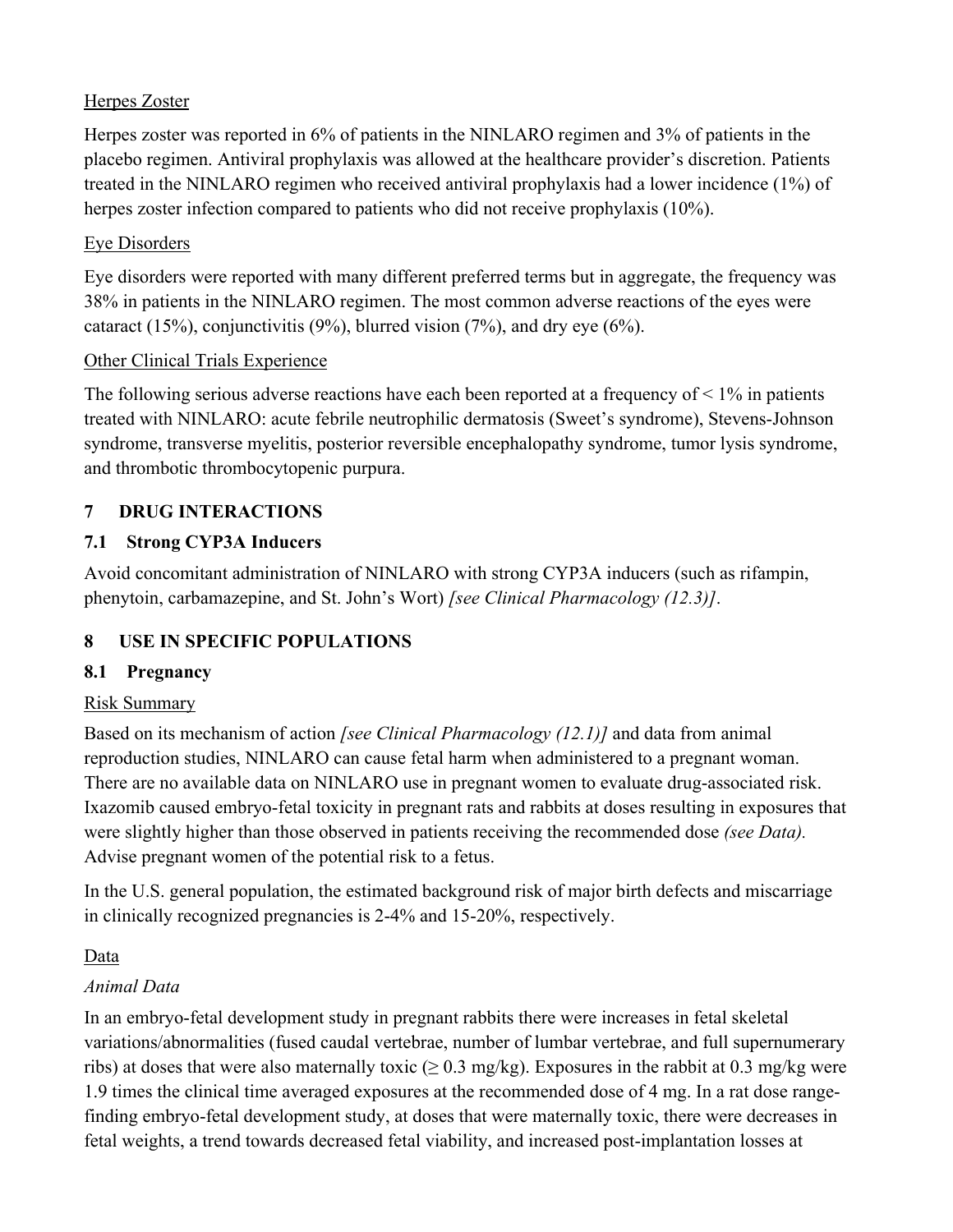## Herpes Zoster

Herpes zoster was reported in 6% of patients in the NINLARO regimen and 3% of patients in the placebo regimen. Antiviral prophylaxis was allowed at the healthcare provider's discretion. Patients treated in the NINLARO regimen who received antiviral prophylaxis had a lower incidence (1%) of herpes zoster infection compared to patients who did not receive prophylaxis (10%).

#### Eye Disorders

Eye disorders were reported with many different preferred terms but in aggregate, the frequency was 38% in patients in the NINLARO regimen. The most common adverse reactions of the eyes were cataract (15%), conjunctivitis (9%), blurred vision (7%), and dry eye (6%).

#### Other Clinical Trials Experience

The following serious adverse reactions have each been reported at a frequency of  $\leq 1\%$  in patients treated with NINLARO: acute febrile neutrophilic dermatosis (Sweet's syndrome), Stevens-Johnson syndrome, transverse myelitis, posterior reversible encephalopathy syndrome, tumor lysis syndrome, and thrombotic thrombocytopenic purpura.

## **7 DRUG INTERACTIONS**

## **7.1 Strong CYP3A Inducers**

Avoid concomitant administration of NINLARO with strong CYP3A inducers (such as rifampin, phenytoin, carbamazepine, and St. John's Wort) *[see Clinical Pharmacology (12.3)]*.

# **8 USE IN SPECIFIC POPULATIONS**

## **8.1 Pregnancy**

## Risk Summary

Based on its mechanism of action *[see Clinical Pharmacology (12.1)]* and data from animal reproduction studies, NINLARO can cause fetal harm when administered to a pregnant woman. There are no available data on NINLARO use in pregnant women to evaluate drug-associated risk. Ixazomib caused embryo-fetal toxicity in pregnant rats and rabbits at doses resulting in exposures that were slightly higher than those observed in patients receiving the recommended dose *(see Data).* Advise pregnant women of the potential risk to a fetus.

In the U.S. general population, the estimated background risk of major birth defects and miscarriage in clinically recognized pregnancies is 2-4% and 15-20%, respectively.

## Data

## *Animal Data*

In an embryo-fetal development study in pregnant rabbits there were increases in fetal skeletal variations/abnormalities (fused caudal vertebrae, number of lumbar vertebrae, and full supernumerary ribs) at doses that were also maternally toxic ( $\geq 0.3$  mg/kg). Exposures in the rabbit at 0.3 mg/kg were 1.9 times the clinical time averaged exposures at the recommended dose of 4 mg. In a rat dose rangefinding embryo-fetal development study, at doses that were maternally toxic, there were decreases in fetal weights, a trend towards decreased fetal viability, and increased post-implantation losses at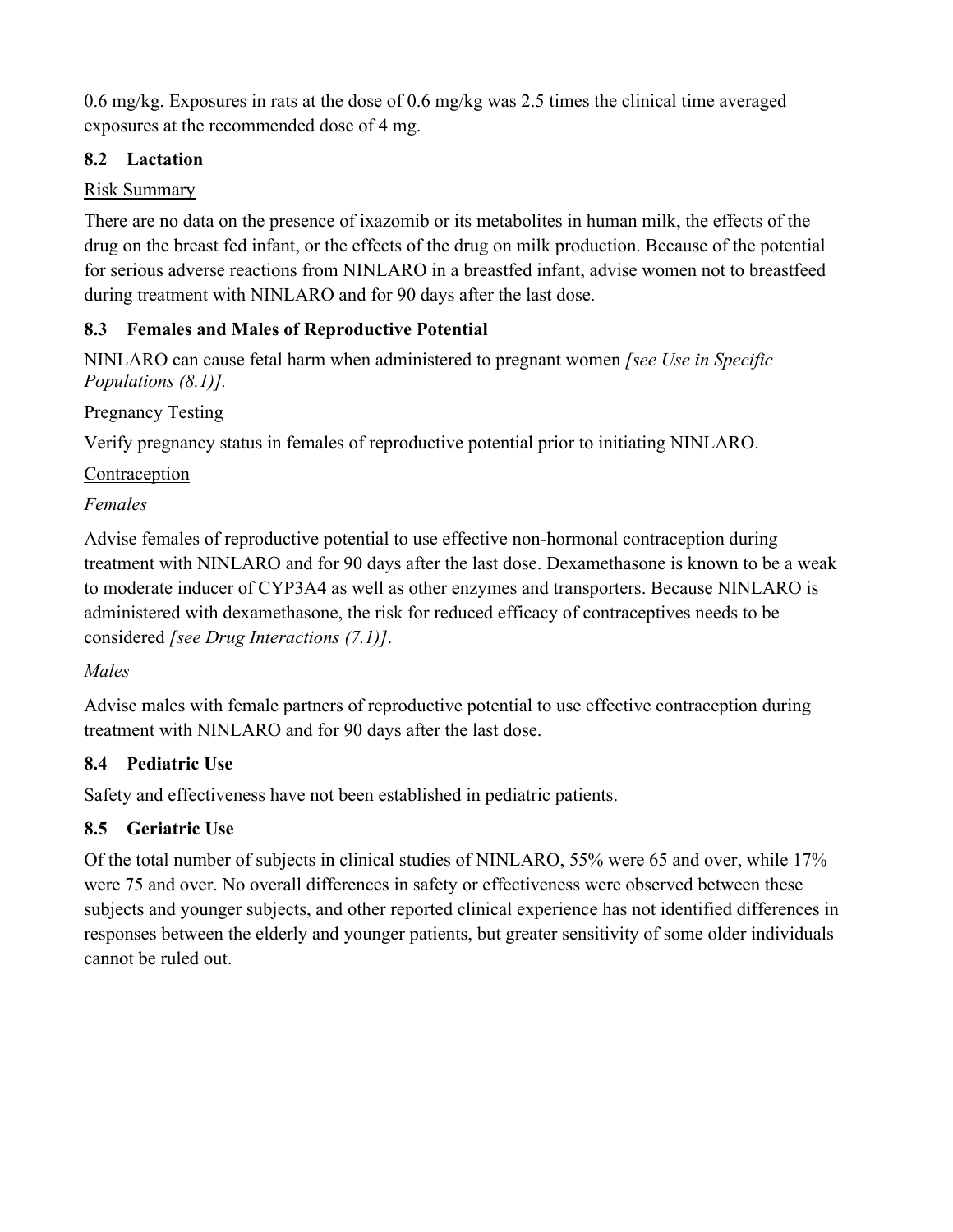0.6 mg/kg. Exposures in rats at the dose of 0.6 mg/kg was 2.5 times the clinical time averaged exposures at the recommended dose of 4 mg.

# **8.2 Lactation**

# Risk Summary

There are no data on the presence of ixazomib or its metabolites in human milk, the effects of the drug on the breast fed infant, or the effects of the drug on milk production. Because of the potential for serious adverse reactions from NINLARO in a breastfed infant, advise women not to breastfeed during treatment with NINLARO and for 90 days after the last dose.

# **8.3 Females and Males of Reproductive Potential**

NINLARO can cause fetal harm when administered to pregnant women *[see Use in Specific Populations (8.1)].* 

# Pregnancy Testing

Verify pregnancy status in females of reproductive potential prior to initiating NINLARO.

# Contraception

# *Females*

Advise females of reproductive potential to use effective non-hormonal contraception during treatment with NINLARO and for 90 days after the last dose. Dexamethasone is known to be a weak to moderate inducer of CYP3A4 as well as other enzymes and transporters. Because NINLARO is administered with dexamethasone, the risk for reduced efficacy of contraceptives needs to be considered *[see Drug Interactions (7.1)]*.

# *Males*

Advise males with female partners of reproductive potential to use effective contraception during treatment with NINLARO and for 90 days after the last dose.

# **8.4 Pediatric Use**

Safety and effectiveness have not been established in pediatric patients.

# **8.5 Geriatric Use**

Of the total number of subjects in clinical studies of NINLARO, 55% were 65 and over, while 17% were 75 and over. No overall differences in safety or effectiveness were observed between these subjects and younger subjects, and other reported clinical experience has not identified differences in responses between the elderly and younger patients, but greater sensitivity of some older individuals cannot be ruled out.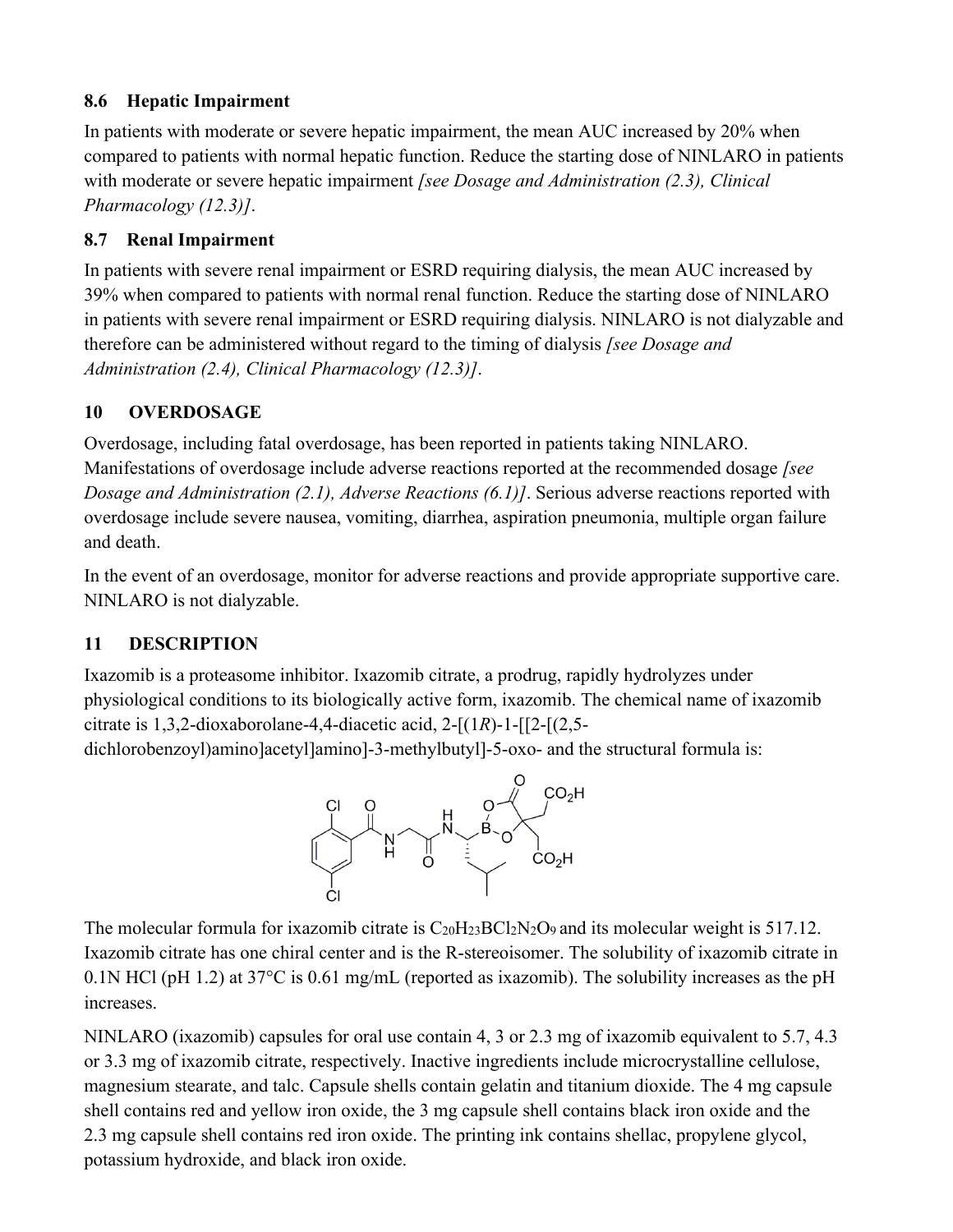## **8.6 Hepatic Impairment**

In patients with moderate or severe hepatic impairment, the mean AUC increased by 20% when compared to patients with normal hepatic function. Reduce the starting dose of NINLARO in patients with moderate or severe hepatic impairment *[see Dosage and Administration (2.3), Clinical Pharmacology (12.3)]*.

## **8.7 Renal Impairment**

In patients with severe renal impairment or ESRD requiring dialysis, the mean AUC increased by 39% when compared to patients with normal renal function. Reduce the starting dose of NINLARO in patients with severe renal impairment or ESRD requiring dialysis. NINLARO is not dialyzable and therefore can be administered without regard to the timing of dialysis *[see Dosage and Administration (2.4), Clinical Pharmacology (12.3)]*.

# **10 OVERDOSAGE**

Overdosage, including fatal overdosage, has been reported in patients taking NINLARO. Manifestations of overdosage include adverse reactions reported at the recommended dosage *[see Dosage and Administration (2.1), Adverse Reactions (6.1)]*. Serious adverse reactions reported with overdosage include severe nausea, vomiting, diarrhea, aspiration pneumonia, multiple organ failure and death.

In the event of an overdosage, monitor for adverse reactions and provide appropriate supportive care. NINLARO is not dialyzable.

# **11 DESCRIPTION**

Ixazomib is a proteasome inhibitor. Ixazomib citrate, a prodrug, rapidly hydrolyzes under physiological conditions to its biologically active form, ixazomib. The chemical name of ixazomib citrate is 1,3,2-dioxaborolane-4,4-diacetic acid, 2-[(1*R*)-1-[[2-[(2,5-

dichlorobenzoyl)amino]acetyl]amino]-3-methylbutyl]-5-oxo- and the structural formula is:



The molecular formula for ixazomib citrate is  $C_{20}H_{23}BCl_2N_2O_9$  and its molecular weight is 517.12. Ixazomib citrate has one chiral center and is the R-stereoisomer. The solubility of ixazomib citrate in 0.1N HCl (pH 1.2) at  $37^{\circ}$ C is 0.61 mg/mL (reported as ixazomib). The solubility increases as the pH increases.

NINLARO (ixazomib) capsules for oral use contain 4, 3 or 2.3 mg of ixazomib equivalent to 5.7, 4.3 or 3.3 mg of ixazomib citrate, respectively. Inactive ingredients include microcrystalline cellulose, magnesium stearate, and talc. Capsule shells contain gelatin and titanium dioxide. The 4 mg capsule shell contains red and yellow iron oxide, the 3 mg capsule shell contains black iron oxide and the 2.3 mg capsule shell contains red iron oxide. The printing ink contains shellac, propylene glycol, potassium hydroxide, and black iron oxide.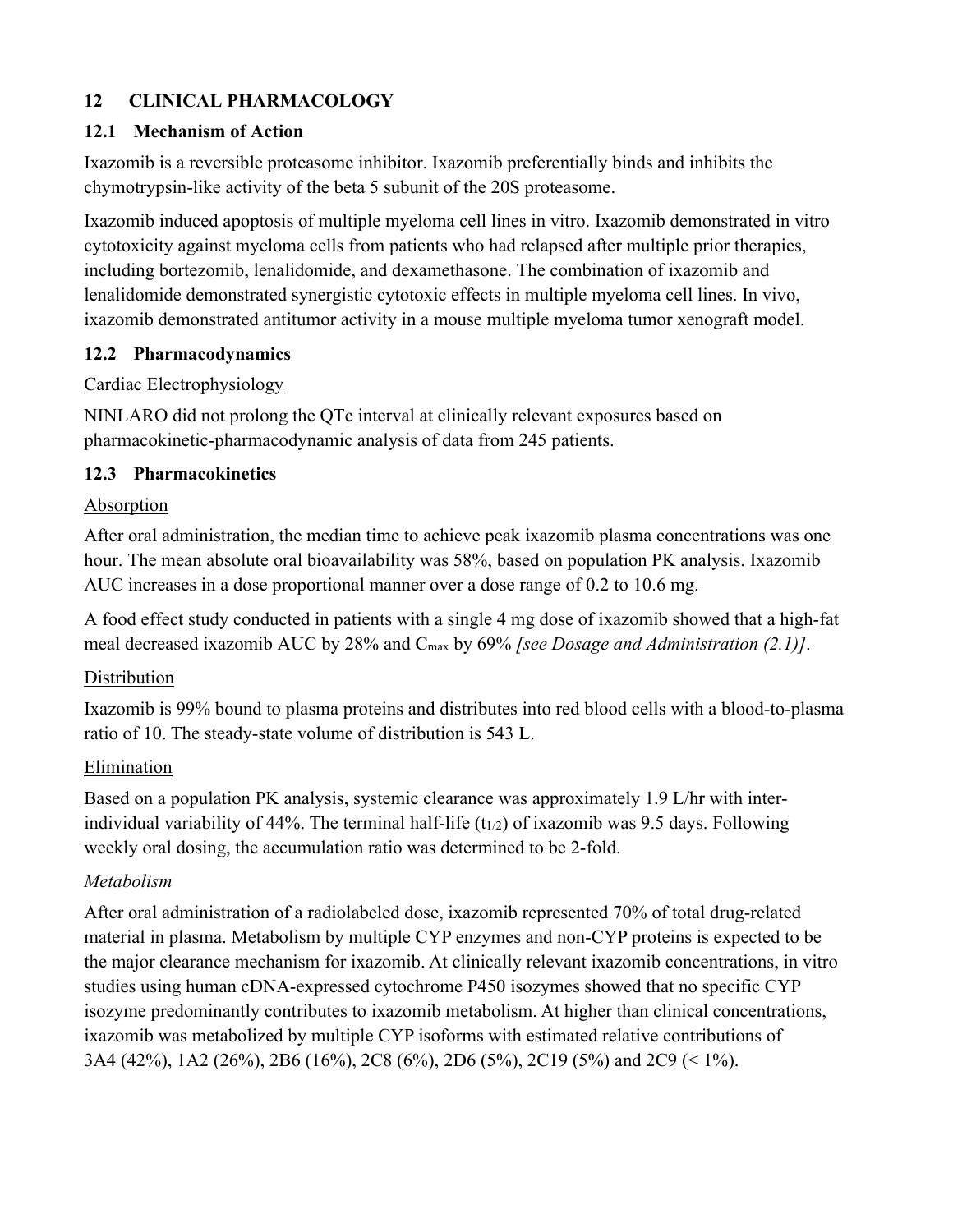## **12 CLINICAL PHARMACOLOGY**

### **12.1 Mechanism of Action**

Ixazomib is a reversible proteasome inhibitor. Ixazomib preferentially binds and inhibits the chymotrypsin-like activity of the beta 5 subunit of the 20S proteasome.

Ixazomib induced apoptosis of multiple myeloma cell lines in vitro. Ixazomib demonstrated in vitro cytotoxicity against myeloma cells from patients who had relapsed after multiple prior therapies, including bortezomib, lenalidomide, and dexamethasone. The combination of ixazomib and lenalidomide demonstrated synergistic cytotoxic effects in multiple myeloma cell lines. In vivo, ixazomib demonstrated antitumor activity in a mouse multiple myeloma tumor xenograft model.

### **12.2 Pharmacodynamics**

### Cardiac Electrophysiology

NINLARO did not prolong the QTc interval at clinically relevant exposures based on pharmacokinetic-pharmacodynamic analysis of data from 245 patients.

## **12.3 Pharmacokinetics**

## Absorption

After oral administration, the median time to achieve peak ixazomib plasma concentrations was one hour. The mean absolute oral bioavailability was 58%, based on population PK analysis. Ixazomib AUC increases in a dose proportional manner over a dose range of 0.2 to 10.6 mg.

A food effect study conducted in patients with a single 4 mg dose of ixazomib showed that a high-fat meal decreased ixazomib AUC by 28% and Cmax by 69% *[see Dosage and Administration (2.1)]*.

## Distribution

Ixazomib is 99% bound to plasma proteins and distributes into red blood cells with a blood-to-plasma ratio of 10. The steady-state volume of distribution is 543 L.

#### Elimination

Based on a population PK analysis, systemic clearance was approximately 1.9 L/hr with interindividual variability of 44%. The terminal half-life ( $t_{1/2}$ ) of ixazomib was 9.5 days. Following weekly oral dosing, the accumulation ratio was determined to be 2-fold.

#### *Metabolism*

After oral administration of a radiolabeled dose, ixazomib represented 70% of total drug-related material in plasma. Metabolism by multiple CYP enzymes and non-CYP proteins is expected to be the major clearance mechanism for ixazomib. At clinically relevant ixazomib concentrations, in vitro studies using human cDNA-expressed cytochrome P450 isozymes showed that no specific CYP isozyme predominantly contributes to ixazomib metabolism. At higher than clinical concentrations, ixazomib was metabolized by multiple CYP isoforms with estimated relative contributions of 3A4 (42%), 1A2 (26%), 2B6 (16%), 2C8 (6%), 2D6 (5%), 2C19 (5%) and 2C9 (< 1%).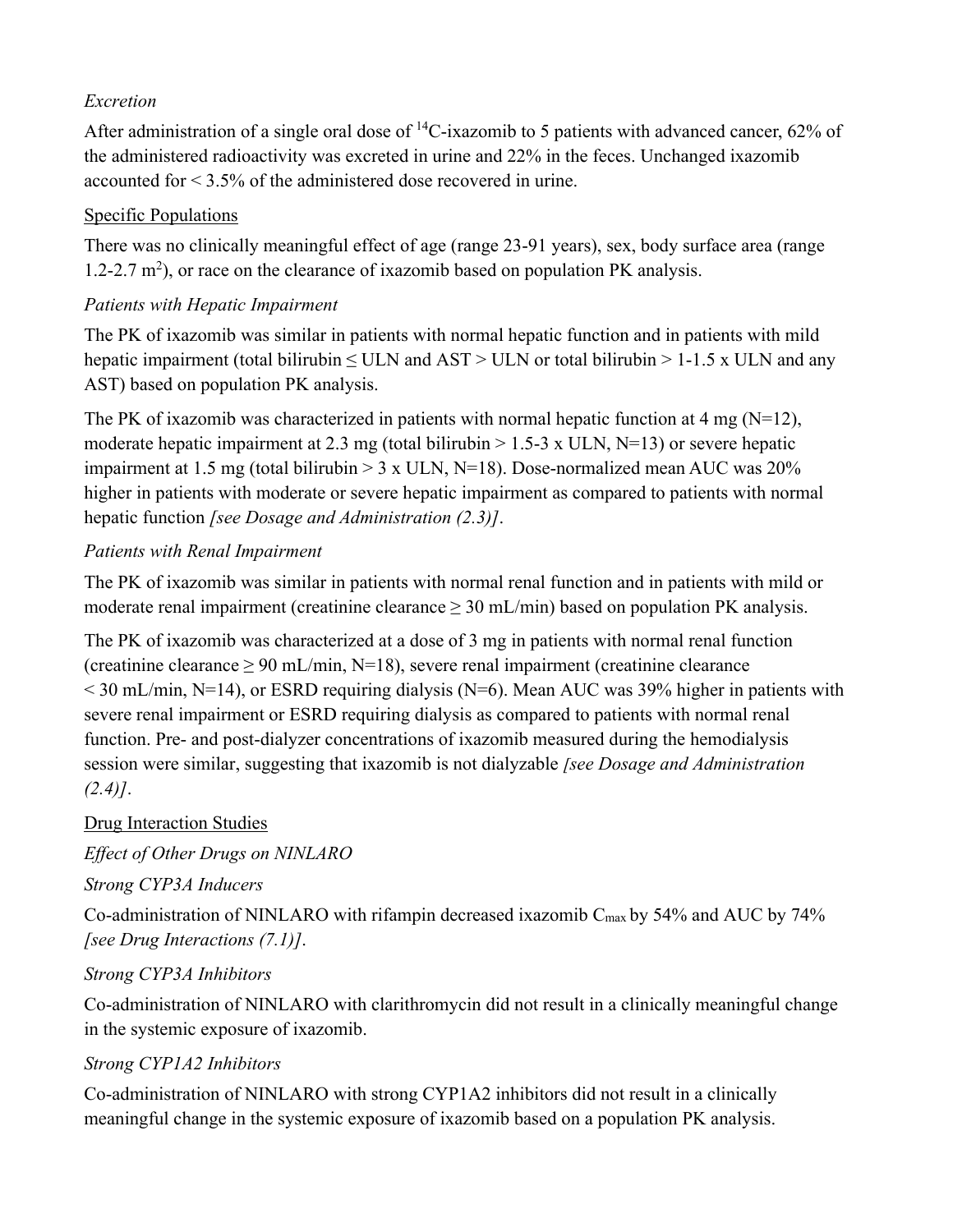## *Excretion*

After administration of a single oral dose of  ${}^{14}C$ -ixazomib to 5 patients with advanced cancer, 62% of the administered radioactivity was excreted in urine and 22% in the feces. Unchanged ixazomib accounted for < 3.5% of the administered dose recovered in urine.

## Specific Populations

There was no clinically meaningful effect of age (range 23-91 years), sex, body surface area (range 1.2-2.7  $m^2$ ), or race on the clearance of ixazomib based on population PK analysis.

# *Patients with Hepatic Impairment*

The PK of ixazomib was similar in patients with normal hepatic function and in patients with mild hepatic impairment (total bilirubin  $\leq$  ULN and AST > ULN or total bilirubin > 1-1.5 x ULN and any AST) based on population PK analysis.

The PK of ixazomib was characterized in patients with normal hepatic function at 4 mg ( $N=12$ ), moderate hepatic impairment at 2.3 mg (total bilirubin  $> 1.5-3$  x ULN, N=13) or severe hepatic impairment at 1.5 mg (total bilirubin  $> 3 \times$  ULN, N=18). Dose-normalized mean AUC was 20% higher in patients with moderate or severe hepatic impairment as compared to patients with normal hepatic function *[see Dosage and Administration (2.3)]*.

# *Patients with Renal Impairment*

The PK of ixazomib was similar in patients with normal renal function and in patients with mild or moderate renal impairment (creatinine clearance  $\geq 30$  mL/min) based on population PK analysis.

The PK of ixazomib was characterized at a dose of 3 mg in patients with normal renal function (creatinine clearance  $\geq 90$  mL/min, N=18), severe renal impairment (creatinine clearance  $<$  30 mL/min, N=14), or ESRD requiring dialysis (N=6). Mean AUC was 39% higher in patients with severe renal impairment or ESRD requiring dialysis as compared to patients with normal renal function. Pre- and post-dialyzer concentrations of ixazomib measured during the hemodialysis session were similar, suggesting that ixazomib is not dialyzable *[see Dosage and Administration (2.4)]*.

# Drug Interaction Studies

*Effect of Other Drugs on NINLARO* 

*Strong CYP3A Inducers* 

Co-administration of NINLARO with rifampin decreased ixazomib Cmax by 54% and AUC by 74% *[see Drug Interactions (7.1)]*.

# *Strong CYP3A Inhibitors*

Co-administration of NINLARO with clarithromycin did not result in a clinically meaningful change in the systemic exposure of ixazomib.

# *Strong CYP1A2 Inhibitors*

Co-administration of NINLARO with strong CYP1A2 inhibitors did not result in a clinically meaningful change in the systemic exposure of ixazomib based on a population PK analysis.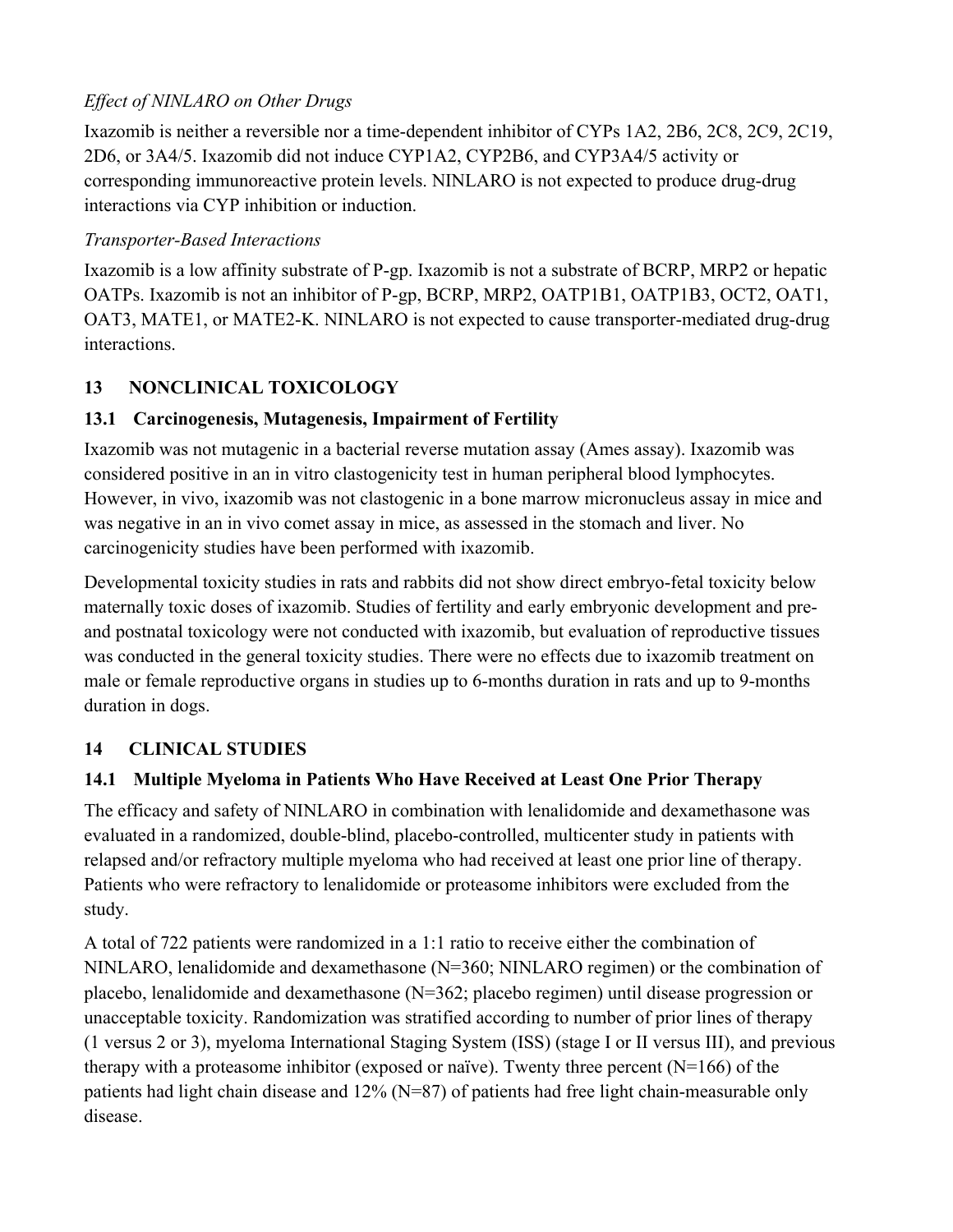# *Effect of NINLARO on Other Drugs*

Ixazomib is neither a reversible nor a time-dependent inhibitor of CYPs 1A2, 2B6, 2C8, 2C9, 2C19, 2D6, or 3A4/5. Ixazomib did not induce CYP1A2, CYP2B6, and CYP3A4/5 activity or corresponding immunoreactive protein levels. NINLARO is not expected to produce drug-drug interactions via CYP inhibition or induction.

## *Transporter-Based Interactions*

Ixazomib is a low affinity substrate of P-gp. Ixazomib is not a substrate of BCRP, MRP2 or hepatic OATPs. Ixazomib is not an inhibitor of P-gp, BCRP, MRP2, OATP1B1, OATP1B3, OCT2, OAT1, OAT3, MATE1, or MATE2-K. NINLARO is not expected to cause transporter-mediated drug-drug interactions.

# **13 NONCLINICAL TOXICOLOGY**

# **13.1 Carcinogenesis, Mutagenesis, Impairment of Fertility**

Ixazomib was not mutagenic in a bacterial reverse mutation assay (Ames assay). Ixazomib was considered positive in an in vitro clastogenicity test in human peripheral blood lymphocytes. However, in vivo, ixazomib was not clastogenic in a bone marrow micronucleus assay in mice and was negative in an in vivo comet assay in mice, as assessed in the stomach and liver. No carcinogenicity studies have been performed with ixazomib.

Developmental toxicity studies in rats and rabbits did not show direct embryo-fetal toxicity below maternally toxic doses of ixazomib. Studies of fertility and early embryonic development and preand postnatal toxicology were not conducted with ixazomib, but evaluation of reproductive tissues was conducted in the general toxicity studies. There were no effects due to ixazomib treatment on male or female reproductive organs in studies up to 6-months duration in rats and up to 9-months duration in dogs.

# **14 CLINICAL STUDIES**

# **14.1 Multiple Myeloma in Patients Who Have Received at Least One Prior Therapy**

The efficacy and safety of NINLARO in combination with lenalidomide and dexamethasone was evaluated in a randomized, double-blind, placebo-controlled, multicenter study in patients with relapsed and/or refractory multiple myeloma who had received at least one prior line of therapy. Patients who were refractory to lenalidomide or proteasome inhibitors were excluded from the study.

A total of 722 patients were randomized in a 1:1 ratio to receive either the combination of NINLARO, lenalidomide and dexamethasone (N=360; NINLARO regimen) or the combination of placebo, lenalidomide and dexamethasone (N=362; placebo regimen) until disease progression or unacceptable toxicity. Randomization was stratified according to number of prior lines of therapy (1 versus 2 or 3), myeloma International Staging System (ISS) (stage I or II versus III), and previous therapy with a proteasome inhibitor (exposed or naïve). Twenty three percent  $(N=166)$  of the patients had light chain disease and 12% (N=87) of patients had free light chain-measurable only disease.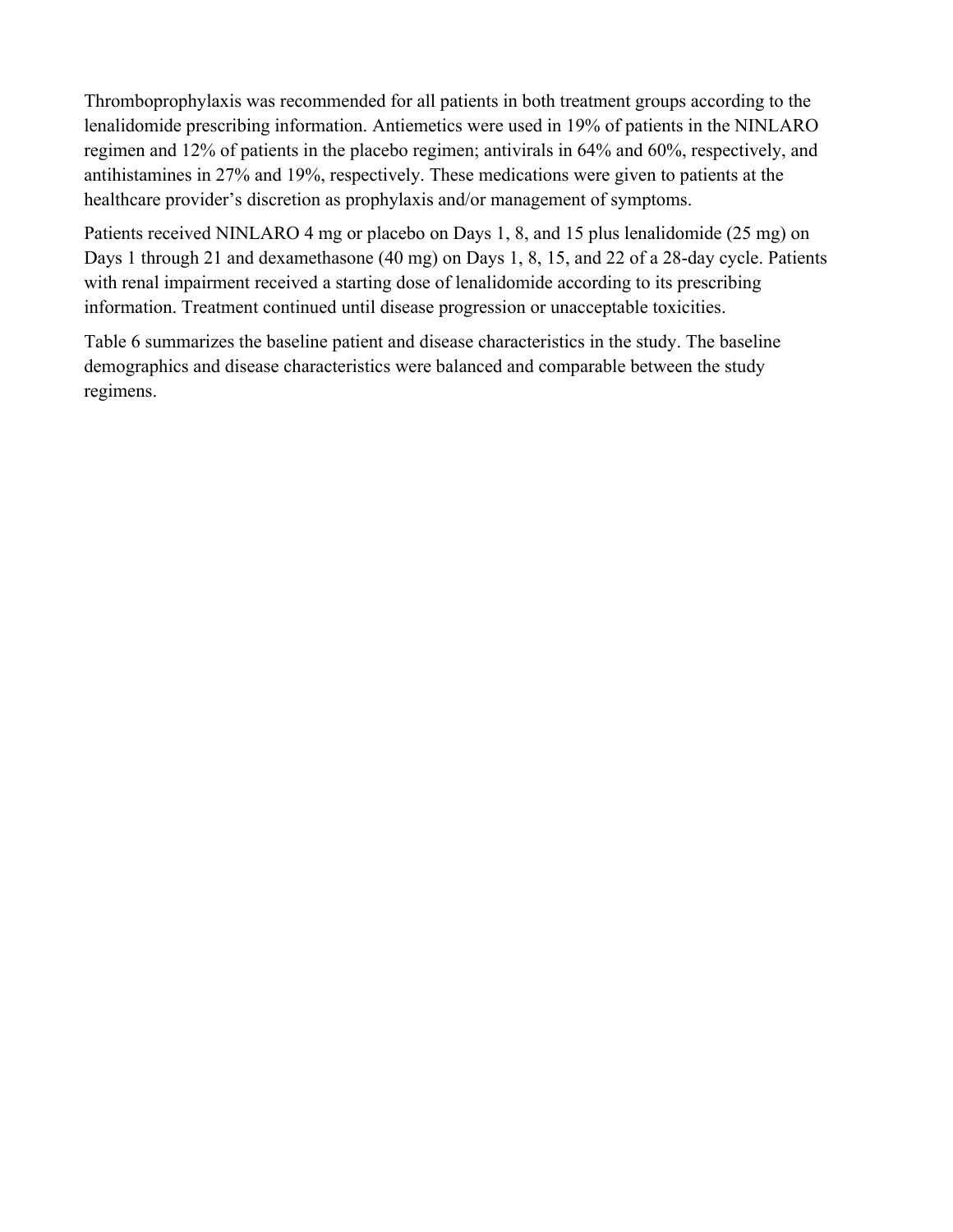Thromboprophylaxis was recommended for all patients in both treatment groups according to the lenalidomide prescribing information. Antiemetics were used in 19% of patients in the NINLARO regimen and 12% of patients in the placebo regimen; antivirals in 64% and 60%, respectively, and antihistamines in 27% and 19%, respectively. These medications were given to patients at the healthcare provider's discretion as prophylaxis and/or management of symptoms.

Patients received NINLARO 4 mg or placebo on Days 1, 8, and 15 plus lenalidomide (25 mg) on Days 1 through 21 and dexamethasone (40 mg) on Days 1, 8, 15, and 22 of a 28-day cycle. Patients with renal impairment received a starting dose of lenalidomide according to its prescribing information. Treatment continued until disease progression or unacceptable toxicities.

Table 6 summarizes the baseline patient and disease characteristics in the study. The baseline demographics and disease characteristics were balanced and comparable between the study regimens.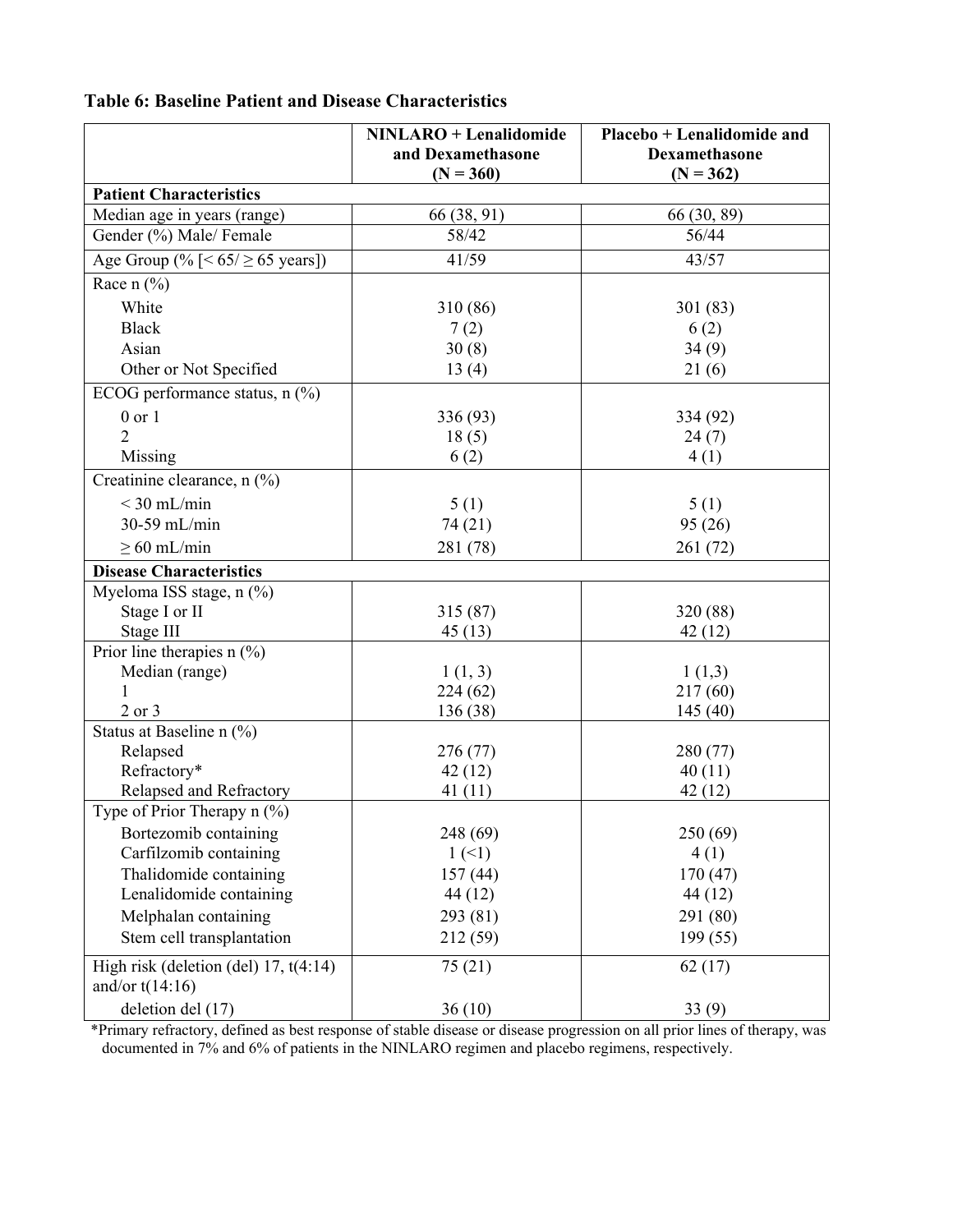| <b>Table 6: Baseline Patient and Disease Characteristics</b> |
|--------------------------------------------------------------|
|--------------------------------------------------------------|

|                                         | <b>NINLARO</b> + Lenalidomide | Placebo + Lenalidomide and |
|-----------------------------------------|-------------------------------|----------------------------|
|                                         | and Dexamethasone             | Dexamethasone              |
|                                         | $(N = 360)$                   | $(N = 362)$                |
| <b>Patient Characteristics</b>          |                               |                            |
| Median age in years (range)             | 66 (38, 91)                   | 66 (30, 89)                |
| Gender (%) Male/ Female                 | 58/42                         | 56/44                      |
| Age Group (% $[< 65 / \ge 65$ years])   | 41/59                         | 43/57                      |
| Race $n$ (%)                            |                               |                            |
| White                                   | 310 (86)                      | 301(83)                    |
| <b>Black</b>                            | 7(2)                          | 6(2)                       |
| Asian                                   | 30(8)                         | 34(9)                      |
| Other or Not Specified                  | 13(4)                         | 21(6)                      |
| ECOG performance status, $n$ (%)        |                               |                            |
| $0$ or $1$                              | 336 (93)                      | 334 (92)                   |
| $\overline{2}$                          | 18(5)                         | 24(7)                      |
| Missing                                 | 6(2)                          | 4(1)                       |
| Creatinine clearance, n (%)             |                               |                            |
| $<$ 30 mL/min                           | 5(1)                          | 5(1)                       |
| 30-59 mL/min                            | 74 (21)                       | 95(26)                     |
| $\geq 60$ mL/min                        | 281 (78)                      | 261(72)                    |
| <b>Disease Characteristics</b>          |                               |                            |
| Myeloma ISS stage, n (%)                |                               |                            |
| Stage I or II                           | 315(87)                       | 320 (88)                   |
| Stage III                               | 45(13)                        | 42(12)                     |
| Prior line therapies $n$ (%)            |                               |                            |
| Median (range)                          | 1(1, 3)                       | 1(1,3)                     |
|                                         | 224(62)                       | 217(60)                    |
| $2$ or $3$                              | 136 (38)                      | 145(40)                    |
| Status at Baseline n (%)                |                               |                            |
| Relapsed                                | 276 (77)                      | 280 (77)                   |
| Refractory*                             | 42(12)                        | 40(11)                     |
| Relapsed and Refractory                 | 41(11)                        | 42 (12)                    |
| Type of Prior Therapy $n$ (%)           |                               |                            |
| Bortezomib containing                   | 248 (69)                      | 250(69)                    |
| Carfilzomib containing                  | 1(1)                          | 4(1)                       |
| Thalidomide containing                  | 157(44)                       | 170(47)                    |
| Lenalidomide containing                 | 44 (12)                       | 44(12)                     |
| Melphalan containing                    | 293 (81)                      | 291 (80)                   |
| Stem cell transplantation               | 212 (59)                      | 199(55)                    |
| High risk (deletion (del) $17, t(4:14)$ | 75(21)                        | 62(17)                     |
| and/or $t(14:16)$                       |                               |                            |
| deletion del (17)                       | 36(10)                        | 33(9)                      |

\*Primary refractory, defined as best response of stable disease or disease progression on all prior lines of therapy, was documented in 7% and 6% of patients in the NINLARO regimen and placebo regimens, respectively.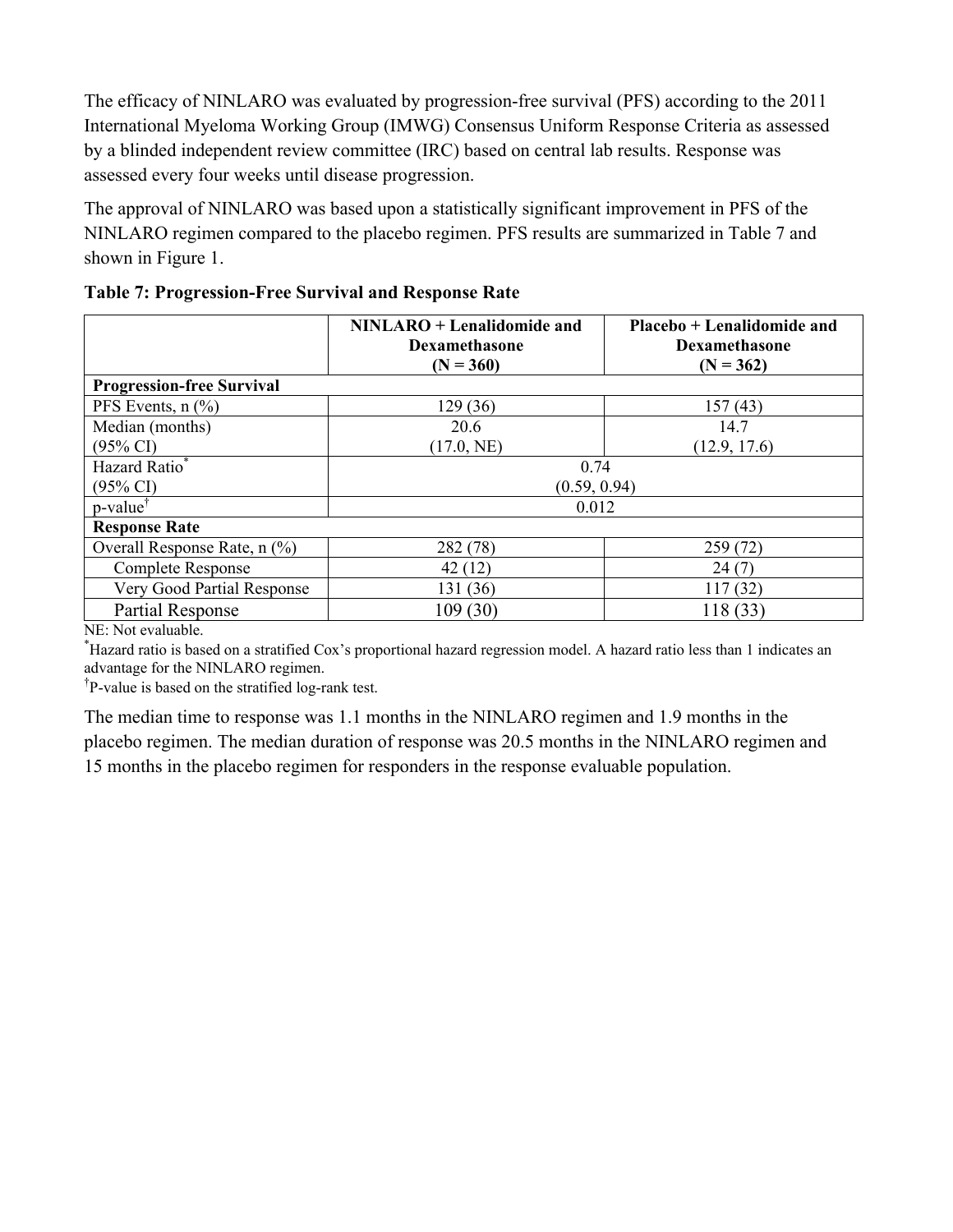The efficacy of NINLARO was evaluated by progression-free survival (PFS) according to the 2011 International Myeloma Working Group (IMWG) Consensus Uniform Response Criteria as assessed by a blinded independent review committee (IRC) based on central lab results. Response was assessed every four weeks until disease progression.

The approval of NINLARO was based upon a statistically significant improvement in PFS of the NINLARO regimen compared to the placebo regimen. PFS results are summarized in Table 7 and shown in Figure 1.

| <b>NINLARO</b> + Lenalidomide and<br><b>Dexamethasone</b><br>$(N = 360)$ |              | Placebo + Lenalidomide and<br><b>Dexamethasone</b><br>$(N = 362)$ |  |  |  |
|--------------------------------------------------------------------------|--------------|-------------------------------------------------------------------|--|--|--|
| <b>Progression-free Survival</b>                                         |              |                                                                   |  |  |  |
| PFS Events, $n$ $\left(\frac{9}{6}\right)$                               | 129 (36)     | 157(43)                                                           |  |  |  |
| Median (months)                                                          | 20.6         | 14.7                                                              |  |  |  |
| $(95\% \text{ CI})$                                                      | (17.0, NE)   | (12.9, 17.6)                                                      |  |  |  |
| Hazard Ratio*                                                            | 0.74         |                                                                   |  |  |  |
| $(95\% \text{ CI})$                                                      | (0.59, 0.94) |                                                                   |  |  |  |
| p-value <sup>†</sup>                                                     | 0.012        |                                                                   |  |  |  |
| <b>Response Rate</b>                                                     |              |                                                                   |  |  |  |
| Overall Response Rate, n (%)                                             | 282 (78)     | 259 (72)                                                          |  |  |  |
| <b>Complete Response</b>                                                 | 42 (12)      | 24(7)                                                             |  |  |  |
| Very Good Partial Response                                               | 131 (36)     | 117(32)                                                           |  |  |  |
| <b>Partial Response</b>                                                  | 109 (30)     | 118 (33)                                                          |  |  |  |

**Table 7: Progression-Free Survival and Response Rate** 

NE: Not evaluable.

\* Hazard ratio is based on a stratified Cox's proportional hazard regression model. A hazard ratio less than 1 indicates an advantage for the NINLARO regimen.

<sup>†</sup>P-value is based on the stratified log-rank test.

The median time to response was 1.1 months in the NINLARO regimen and 1.9 months in the placebo regimen. The median duration of response was 20.5 months in the NINLARO regimen and 15 months in the placebo regimen for responders in the response evaluable population.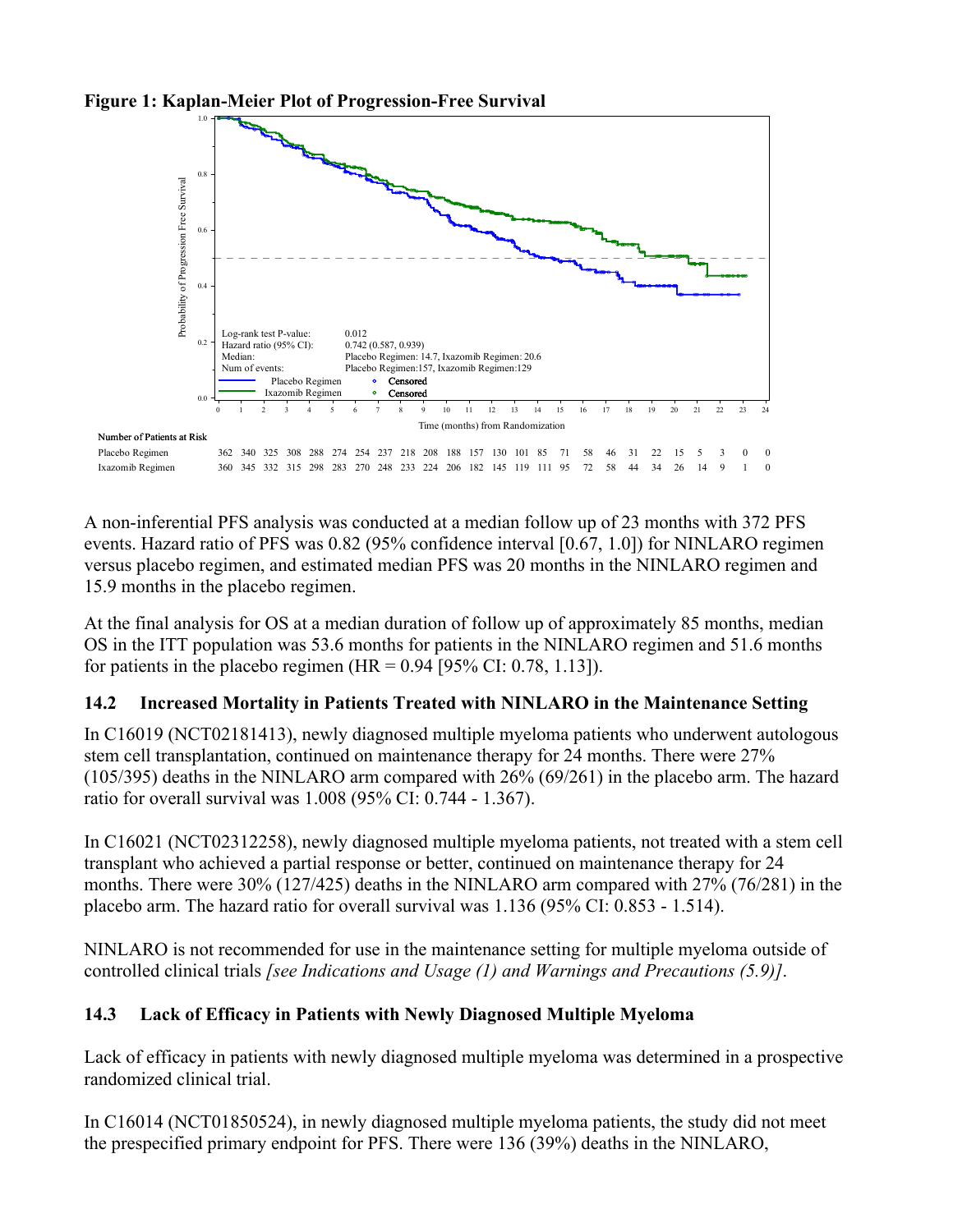

**Figure 1: Kaplan-Meier Plot of Progression-Free Survival** 

A non-inferential PFS analysis was conducted at a median follow up of 23 months with 372 PFS events. Hazard ratio of PFS was 0.82 (95% confidence interval [0.67, 1.0]) for NINLARO regimen versus placebo regimen, and estimated median PFS was 20 months in the NINLARO regimen and 15.9 months in the placebo regimen.

At the final analysis for OS at a median duration of follow up of approximately 85 months, median OS in the ITT population was 53.6 months for patients in the NINLARO regimen and 51.6 months for patients in the placebo regimen (HR =  $0.94$  [95% CI: 0.78, 1.13]).

## **14.2 Increased Mortality in Patients Treated with NINLARO in the Maintenance Setting**

In C16019 (NCT02181413), newly diagnosed multiple myeloma patients who underwent autologous stem cell transplantation, continued on maintenance therapy for 24 months. There were 27% (105/395) deaths in the NINLARO arm compared with 26% (69/261) in the placebo arm. The hazard ratio for overall survival was 1.008 (95% CI: 0.744 - 1.367).

In C16021 (NCT02312258), newly diagnosed multiple myeloma patients, not treated with a stem cell transplant who achieved a partial response or better, continued on maintenance therapy for 24 months. There were 30% (127/425) deaths in the NINLARO arm compared with 27% (76/281) in the placebo arm. The hazard ratio for overall survival was 1.136 (95% CI: 0.853 - 1.514).

NINLARO is not recommended for use in the maintenance setting for multiple myeloma outside of controlled clinical trials *[see Indications and Usage (1) and Warnings and Precautions (5.9)]*.

## **14.3 Lack of Efficacy in Patients with Newly Diagnosed Multiple Myeloma**

Lack of efficacy in patients with newly diagnosed multiple myeloma was determined in a prospective randomized clinical trial.

In C16014 (NCT01850524), in newly diagnosed multiple myeloma patients, the study did not meet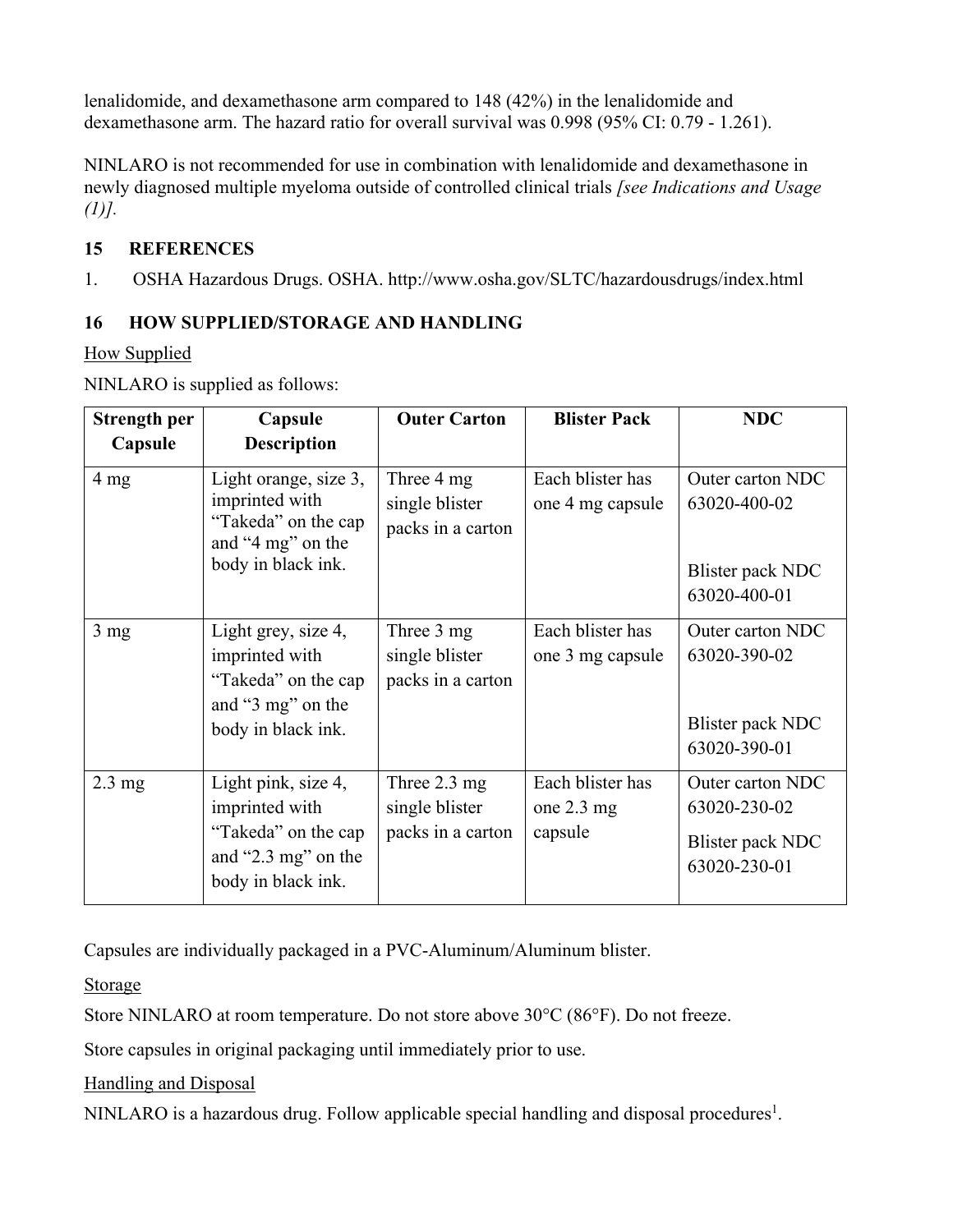lenalidomide, and dexamethasone arm compared to 148 (42%) in the lenalidomide and dexamethasone arm. The hazard ratio for overall survival was 0.998 (95% CI: 0.79 - 1.261).

NINLARO is not recommended for use in combination with lenalidomide and dexamethasone in newly diagnosed multiple myeloma outside of controlled clinical trials *[see Indications and Usage (1)].*

## **15 REFERENCES**

1. OSHA Hazardous Drugs. OSHA. http://www.osha.gov/SLTC/hazardousdrugs/index.html

## **16 HOW SUPPLIED/STORAGE AND HANDLING**

### How Supplied

| <b>Strength per</b> | Capsule                                                                                                   | <b>Outer Carton</b>                                           | <b>Blister Pack</b>                                 | <b>NDC</b>                                                           |
|---------------------|-----------------------------------------------------------------------------------------------------------|---------------------------------------------------------------|-----------------------------------------------------|----------------------------------------------------------------------|
| Capsule             | <b>Description</b>                                                                                        |                                                               |                                                     |                                                                      |
| 4 <sub>mg</sub>     | Light orange, size 3,<br>imprinted with<br>"Takeda" on the cap<br>and "4 mg" on the<br>body in black ink. | Three 4 mg<br>single blister<br>packs in a carton             | Each blister has<br>one 4 mg capsule                | Outer carton NDC<br>63020-400-02<br>Blister pack NDC<br>63020-400-01 |
| 3 <sub>mg</sub>     | Light grey, size 4,<br>imprinted with<br>"Takeda" on the cap<br>and "3 mg" on the<br>body in black ink.   | Three 3 mg<br>single blister<br>packs in a carton             | Each blister has<br>one 3 mg capsule                | Outer carton NDC<br>63020-390-02<br>Blister pack NDC<br>63020-390-01 |
| $2.3 \text{ mg}$    | Light pink, size 4,<br>imprinted with<br>"Takeda" on the cap<br>and "2.3 mg" on the<br>body in black ink. | Three $2.3 \text{ mg}$<br>single blister<br>packs in a carton | Each blister has<br>one $2.3 \text{ mg}$<br>capsule | Outer carton NDC<br>63020-230-02<br>Blister pack NDC<br>63020-230-01 |

NINLARO is supplied as follows:

Capsules are individually packaged in a PVC-Aluminum/Aluminum blister.

Storage

Store NINLARO at room temperature. Do not store above 30°C (86°F). Do not freeze.

Store capsules in original packaging until immediately prior to use.

Handling and Disposal

NINLARO is a hazardous drug. Follow applicable special handling and disposal procedures<sup>1</sup>.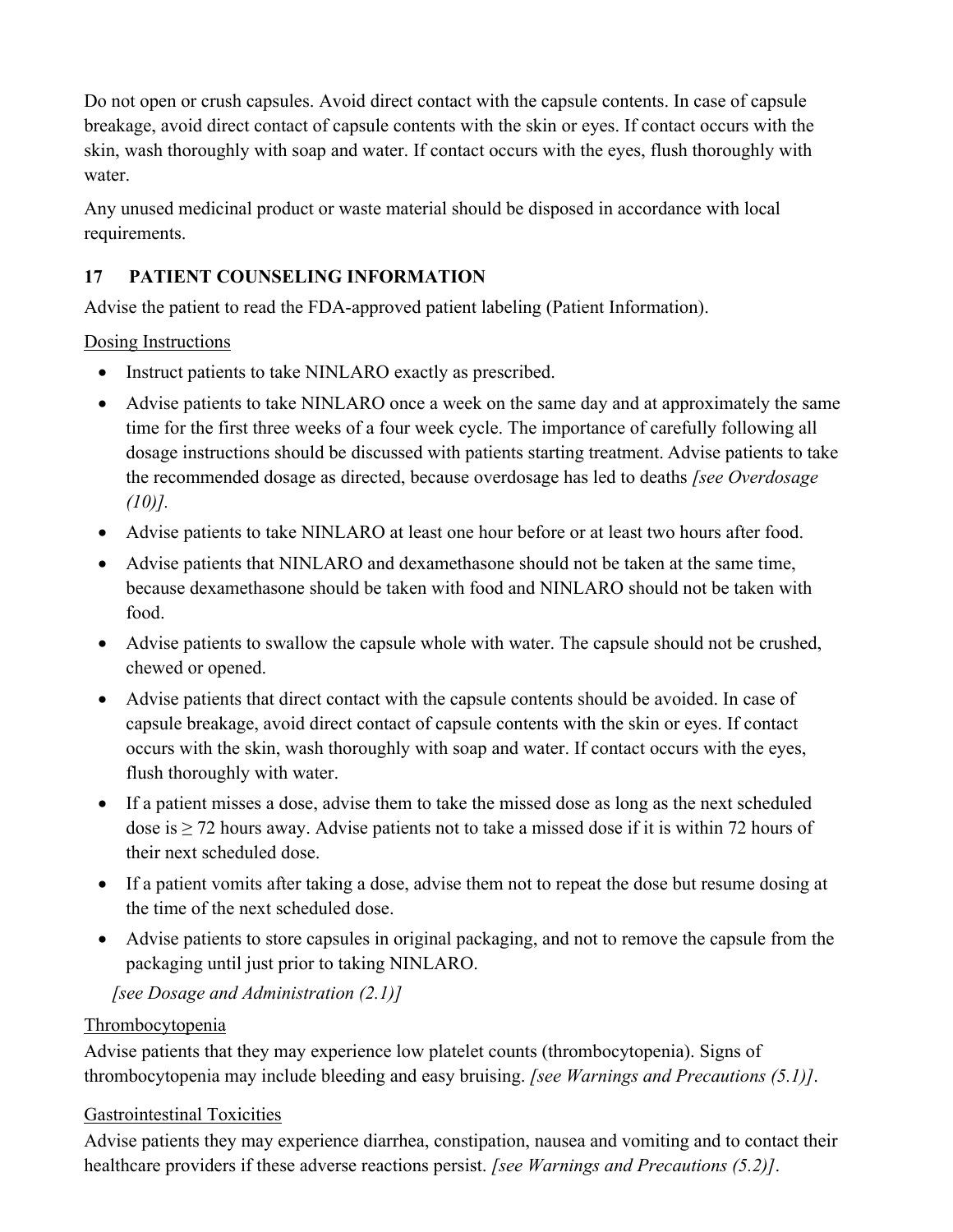Do not open or crush capsules. Avoid direct contact with the capsule contents. In case of capsule breakage, avoid direct contact of capsule contents with the skin or eyes. If contact occurs with the skin, wash thoroughly with soap and water. If contact occurs with the eyes, flush thoroughly with water.

Any unused medicinal product or waste material should be disposed in accordance with local requirements.

# **17 PATIENT COUNSELING INFORMATION**

Advise the patient to read the FDA-approved patient labeling (Patient Information).

## Dosing Instructions

- Instruct patients to take NINLARO exactly as prescribed.
- Advise patients to take NINLARO once a week on the same day and at approximately the same time for the first three weeks of a four week cycle. The importance of carefully following all dosage instructions should be discussed with patients starting treatment. Advise patients to take the recommended dosage as directed, because overdosage has led to deaths *[see Overdosage (10)].*
- Advise patients to take NINLARO at least one hour before or at least two hours after food.
- Advise patients that NINLARO and dexamethasone should not be taken at the same time, because dexamethasone should be taken with food and NINLARO should not be taken with food.
- Advise patients to swallow the capsule whole with water. The capsule should not be crushed, chewed or opened.
- Advise patients that direct contact with the capsule contents should be avoided. In case of capsule breakage, avoid direct contact of capsule contents with the skin or eyes. If contact occurs with the skin, wash thoroughly with soap and water. If contact occurs with the eyes, flush thoroughly with water.
- If a patient misses a dose, advise them to take the missed dose as long as the next scheduled dose is  $\geq$  72 hours away. Advise patients not to take a missed dose if it is within 72 hours of their next scheduled dose.
- If a patient vomits after taking a dose, advise them not to repeat the dose but resume dosing at the time of the next scheduled dose.
- Advise patients to store capsules in original packaging, and not to remove the capsule from the packaging until just prior to taking NINLARO.

*[see Dosage and Administration (2.1)]*

## **Thrombocytopenia**

Advise patients that they may experience low platelet counts (thrombocytopenia). Signs of thrombocytopenia may include bleeding and easy bruising. *[see Warnings and Precautions (5.1)]*.

## Gastrointestinal Toxicities

Advise patients they may experience diarrhea, constipation, nausea and vomiting and to contact their healthcare providers if these adverse reactions persist. *[see Warnings and Precautions (5.2)]*.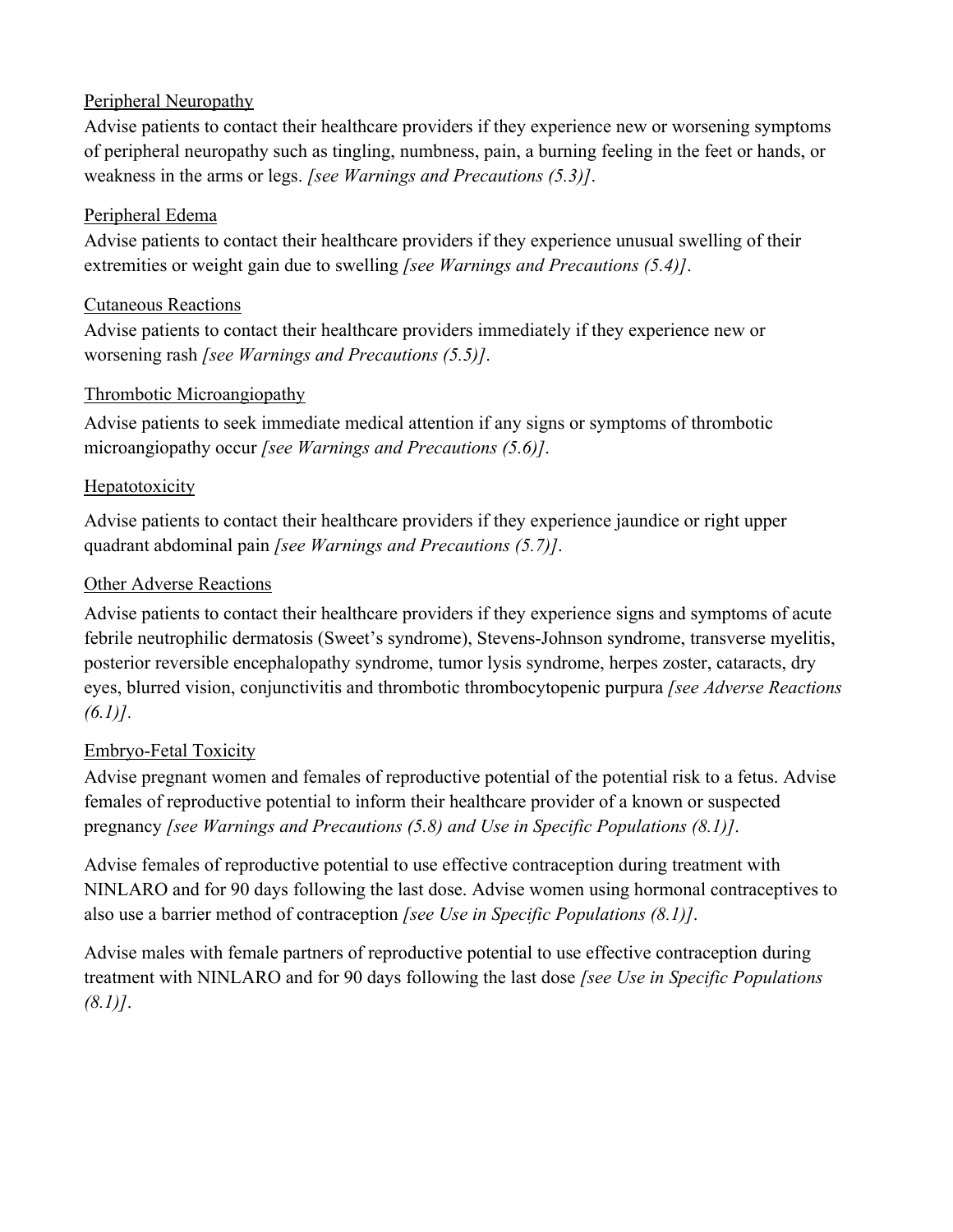#### Peripheral Neuropathy

Advise patients to contact their healthcare providers if they experience new or worsening symptoms of peripheral neuropathy such as tingling, numbness, pain, a burning feeling in the feet or hands, or weakness in the arms or legs. *[see Warnings and Precautions (5.3)]*.

#### Peripheral Edema

Advise patients to contact their healthcare providers if they experience unusual swelling of their extremities or weight gain due to swelling *[see Warnings and Precautions (5.4)]*.

### Cutaneous Reactions

Advise patients to contact their healthcare providers immediately if they experience new or worsening rash *[see Warnings and Precautions (5.5)]*.

### Thrombotic Microangiopathy

Advise patients to seek immediate medical attention if any signs or symptoms of thrombotic microangiopathy occur *[see Warnings and Precautions (5.6)]*.

### Hepatotoxicity

Advise patients to contact their healthcare providers if they experience jaundice or right upper quadrant abdominal pain *[see Warnings and Precautions (5.7)]*.

### Other Adverse Reactions

Advise patients to contact their healthcare providers if they experience signs and symptoms of acute febrile neutrophilic dermatosis (Sweet's syndrome), Stevens-Johnson syndrome, transverse myelitis, posterior reversible encephalopathy syndrome, tumor lysis syndrome, herpes zoster, cataracts, dry eyes, blurred vision, conjunctivitis and thrombotic thrombocytopenic purpura *[see Adverse Reactions (6.1)]*.

## Embryo-Fetal Toxicity

Advise pregnant women and females of reproductive potential of the potential risk to a fetus. Advise females of reproductive potential to inform their healthcare provider of a known or suspected pregnancy *[see Warnings and Precautions (5.8) and Use in Specific Populations (8.1)]*.

Advise females of reproductive potential to use effective contraception during treatment with NINLARO and for 90 days following the last dose. Advise women using hormonal contraceptives to also use a barrier method of contraception *[see Use in Specific Populations (8.1)]*.

Advise males with female partners of reproductive potential to use effective contraception during treatment with NINLARO and for 90 days following the last dose *[see Use in Specific Populations (8.1)]*.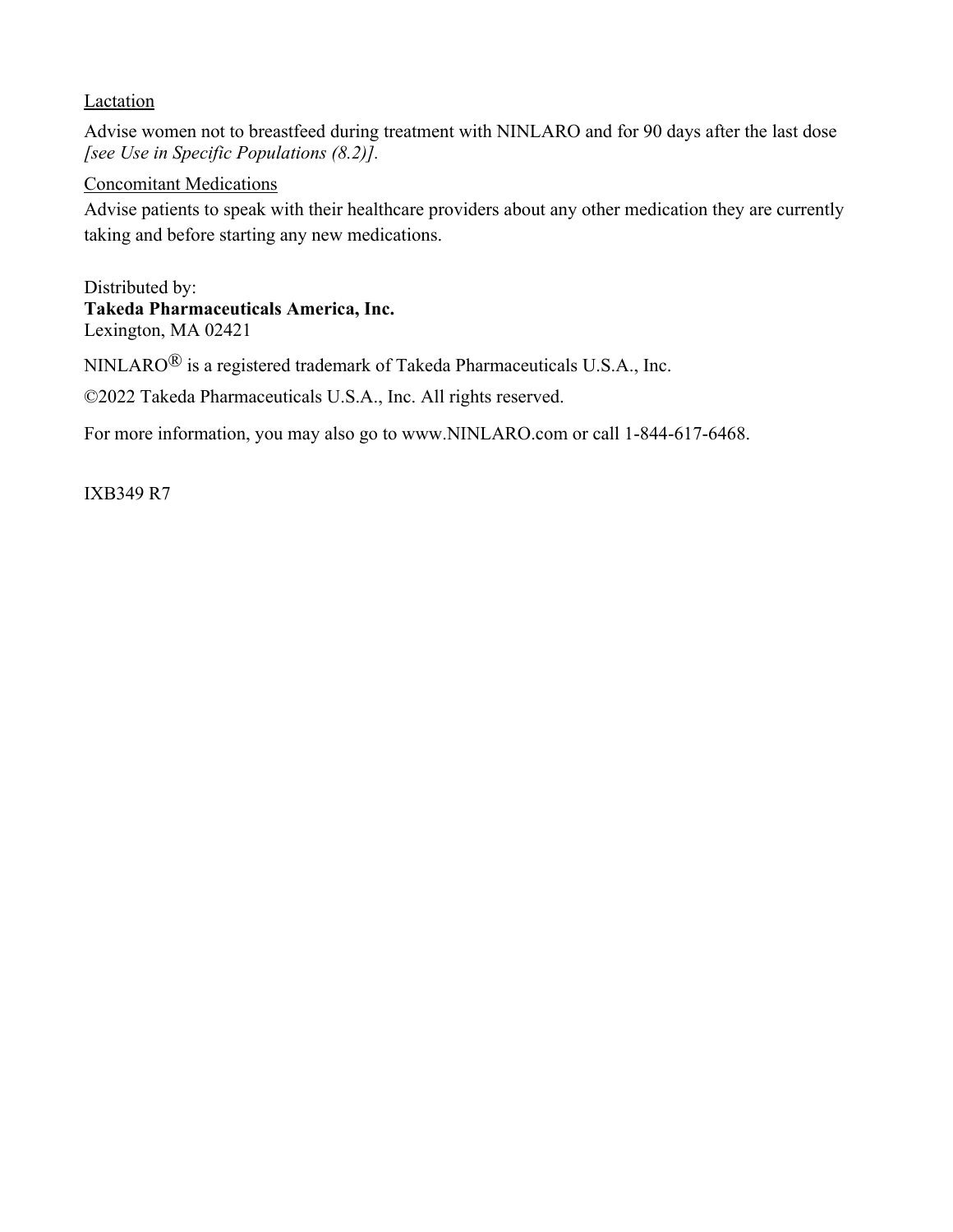#### **Lactation**

Advise women not to breastfeed during treatment with NINLARO and for 90 days after the last dose *[see Use in Specific Populations (8.2)].* 

#### Concomitant Medications

Advise patients to speak with their healthcare providers about any other medication they are currently taking and before starting any new medications.

Distributed by: **Takeda Pharmaceuticals America, Inc.** Lexington, MA 02421

NINLARO® is a registered trademark of Takeda Pharmaceuticals U.S.A., Inc.

©2022 Takeda Pharmaceuticals U.S.A., Inc. All rights reserved.

For more information, you may also go to www.NINLARO.com or call 1-844-617-6468.

IXB349 R7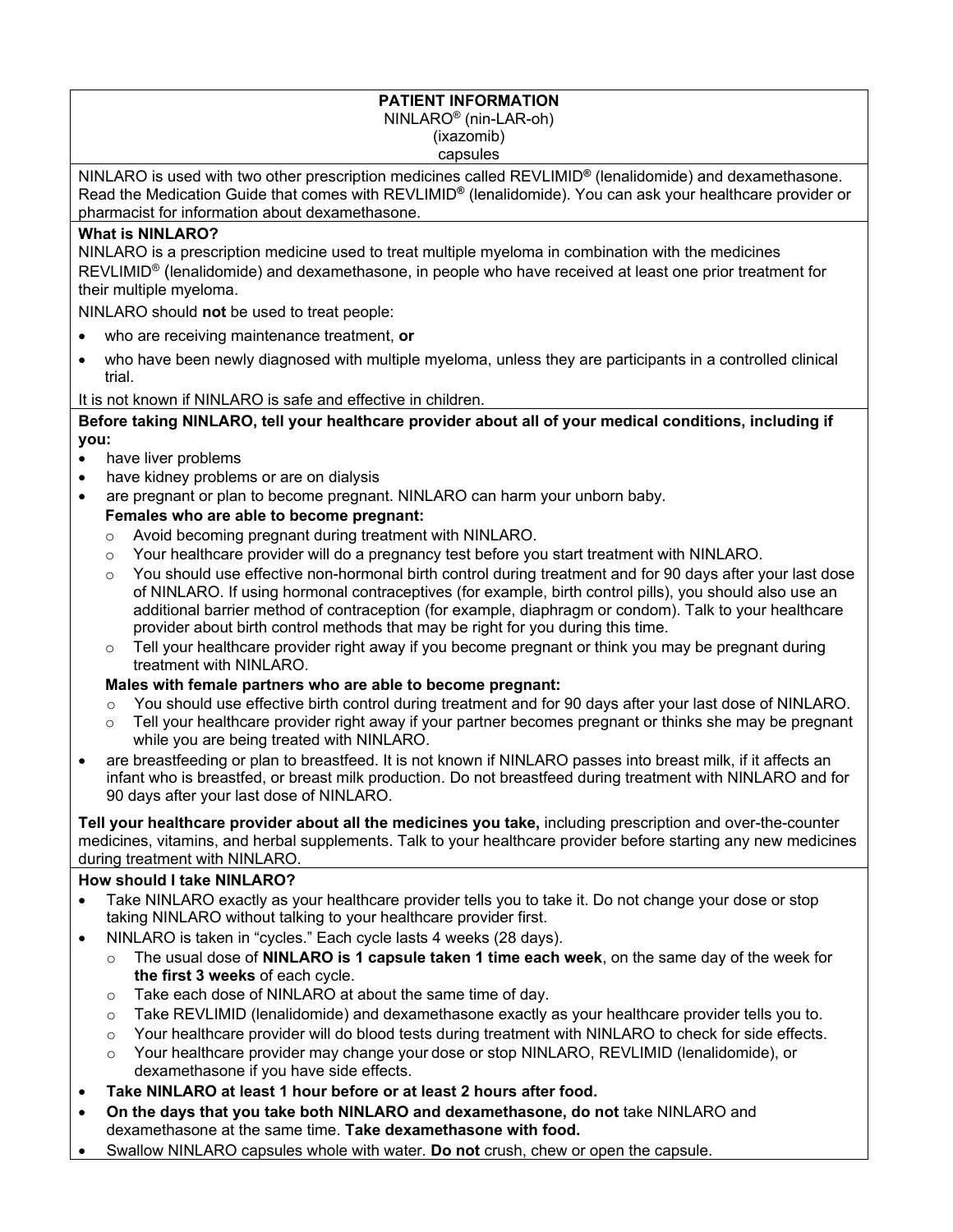#### **PATIENT INFORMATION**  NINLARO® (nin-LAR-oh) (ixazomib)

capsules

NINLARO is used with two other prescription medicines called REVLIMID**®** (lenalidomide) and dexamethasone. Read the Medication Guide that comes with REVLIMID**®** (lenalidomide). You can ask your healthcare provider or pharmacist for information about dexamethasone.

#### **What is NINLARO?**

NINLARO is a prescription medicine used to treat multiple myeloma in combination with the medicines REVLIMID® (lenalidomide) and dexamethasone, in people who have received at least one prior treatment for their multiple myeloma.

NINLARO should **not** be used to treat people:

- who are receiving maintenance treatment, **or**
- who have been newly diagnosed with multiple myeloma, unless they are participants in a controlled clinical trial.

It is not known if NINLARO is safe and effective in children.

#### **Before taking NINLARO, tell your healthcare provider about all of your medical conditions, including if you:**

- have liver problems
- have kidney problems or are on dialysis
- are pregnant or plan to become pregnant. NINLARO can harm your unborn baby.

#### **Females who are able to become pregnant:**

- o Avoid becoming pregnant during treatment with NINLARO.
- $\circ$  Your healthcare provider will do a pregnancy test before you start treatment with NINLARO.
- You should use effective non-hormonal birth control during treatment and for 90 days after your last dose of NINLARO. If using hormonal contraceptives (for example, birth control pills), you should also use an additional barrier method of contraception (for example, diaphragm or condom). Talk to your healthcare provider about birth control methods that may be right for you during this time.
- $\circ$  Tell your healthcare provider right away if you become pregnant or think you may be pregnant during treatment with NINLARO.

#### **Males with female partners who are able to become pregnant:**

- o You should use effective birth control during treatment and for 90 days after your last dose of NINLARO.
- Tell your healthcare provider right away if your partner becomes pregnant or thinks she may be pregnant while you are being treated with NINLARO.
- are breastfeeding or plan to breastfeed. It is not known if NINLARO passes into breast milk, if it affects an infant who is breastfed, or breast milk production. Do not breastfeed during treatment with NINLARO and for 90 days after your last dose of NINLARO.

**Tell your healthcare provider about all the medicines you take,** including prescription and over-the-counter medicines, vitamins, and herbal supplements. Talk to your healthcare provider before starting any new medicines during treatment with NINLARO.

#### **How should I take NINLARO?**

- Take NINLARO exactly as your healthcare provider tells you to take it. Do not change your dose or stop taking NINLARO without talking to your healthcare provider first.
- NINLARO is taken in "cycles." Each cycle lasts 4 weeks (28 days).
	- o The usual dose of **NINLARO is 1 capsule taken 1 time each week**, on the same day of the week for **the first 3 weeks** of each cycle.
	- o Take each dose of NINLARO at about the same time of day.
	- $\circ$  Take REVLIMID (lenalidomide) and dexamethasone exactly as your healthcare provider tells you to.
	- o Your healthcare provider will do blood tests during treatment with NINLARO to check for side effects.
	- o Your healthcare provider may change your dose or stop NINLARO, REVLIMID (lenalidomide), or dexamethasone if you have side effects.
- **Take NINLARO at least 1 hour before or at least 2 hours after food.**
- **On the days that you take both NINLARO and dexamethasone, do not** take NINLARO and dexamethasone at the same time. **Take dexamethasone with food.**
- Swallow NINLARO capsules whole with water. **Do not** crush, chew or open the capsule.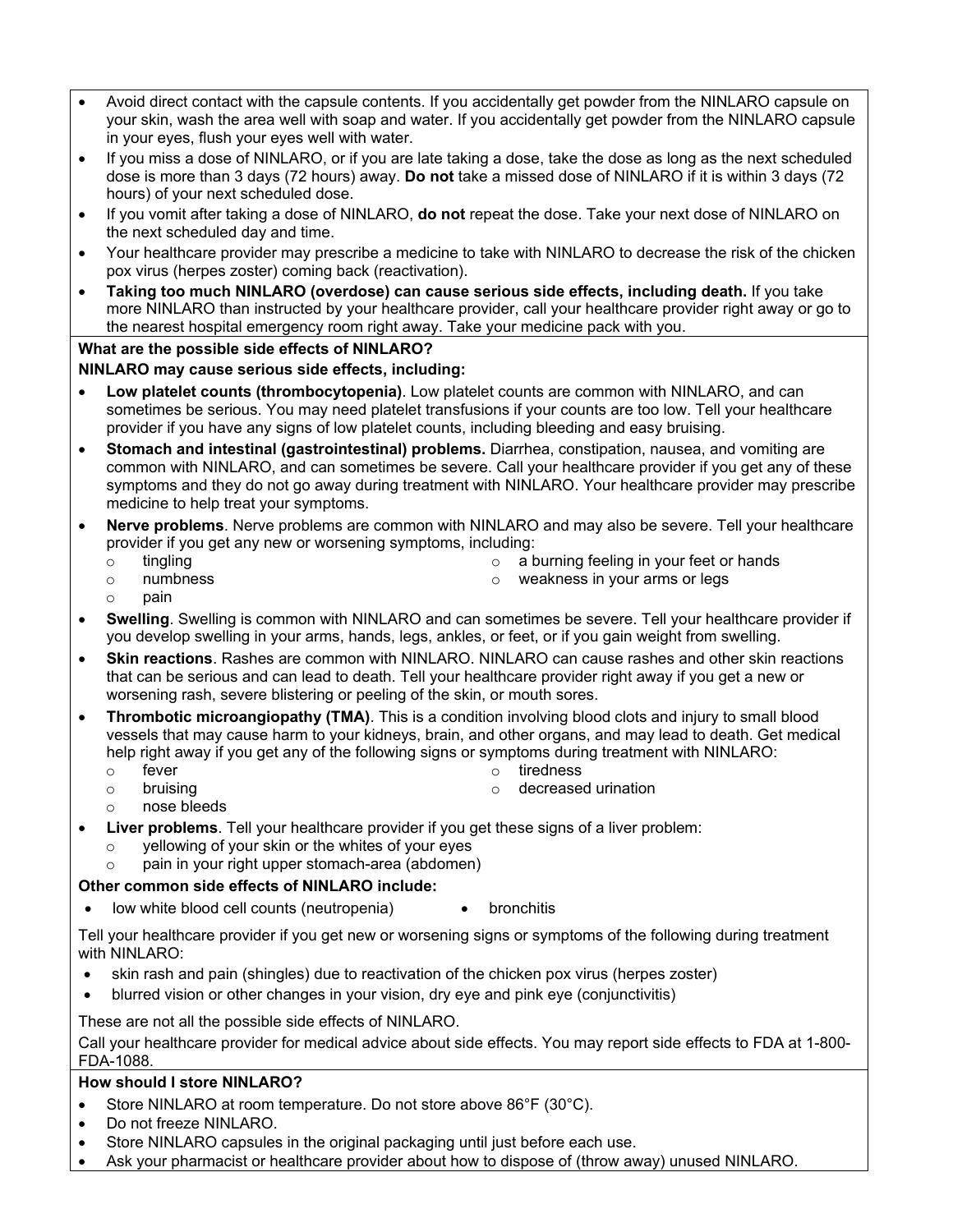- Avoid direct contact with the capsule contents. If you accidentally get powder from the NINLARO capsule on your skin, wash the area well with soap and water. If you accidentally get powder from the NINLARO capsule in your eyes, flush your eyes well with water.
- If you miss a dose of NINLARO, or if you are late taking a dose, take the dose as long as the next scheduled dose is more than 3 days (72 hours) away. **Do not** take a missed dose of NINLARO if it is within 3 days (72 hours) of your next scheduled dose.
- If you vomit after taking a dose of NINLARO, **do not** repeat the dose. Take your next dose of NINLARO on the next scheduled day and time.
- Your healthcare provider may prescribe a medicine to take with NINLARO to decrease the risk of the chicken pox virus (herpes zoster) coming back (reactivation).
- **Taking too much NINLARO (overdose) can cause serious side effects, including death.** If you take more NINLARO than instructed by your healthcare provider, call your healthcare provider right away or go to the nearest hospital emergency room right away. Take your medicine pack with you.

#### **What are the possible side effects of NINLARO?**

#### **NINLARO may cause serious side effects, including:**

- **Low platelet counts (thrombocytopenia)**. Low platelet counts are common with NINLARO, and can sometimes be serious. You may need platelet transfusions if your counts are too low. Tell your healthcare provider if you have any signs of low platelet counts, including bleeding and easy bruising.
- **Stomach and intestinal (gastrointestinal) problems.** Diarrhea, constipation, nausea, and vomiting are common with NINLARO, and can sometimes be severe. Call your healthcare provider if you get any of these symptoms and they do not go away during treatment with NINLARO. Your healthcare provider may prescribe medicine to help treat your symptoms.
- **Nerve problems**. Nerve problems are common with NINLARO and may also be severe. Tell your healthcare provider if you get any new or worsening symptoms, including:
	- o tingling

o a burning feeling in your feet or hands

o numbness

o weakness in your arms or legs

- o pain
- **Swelling**. Swelling is common with NINLARO and can sometimes be severe. Tell your healthcare provider if you develop swelling in your arms, hands, legs, ankles, or feet, or if you gain weight from swelling.
- **Skin reactions**. Rashes are common with NINLARO. NINLARO can cause rashes and other skin reactions that can be serious and can lead to death. Tell your healthcare provider right away if you get a new or worsening rash, severe blistering or peeling of the skin, or mouth sores.
- **Thrombotic microangiopathy (TMA)**. This is a condition involving blood clots and injury to small blood vessels that may cause harm to your kidneys, brain, and other organs, and may lead to death. Get medical help right away if you get any of the following signs or symptoms during treatment with NINLARO:
	- o fever

o tiredness

o bruising

o decreased urination

- o nose bleeds
- **Liver problems**. Tell your healthcare provider if you get these signs of a liver problem:
	- o yellowing of your skin or the whites of your eyes
	- o pain in your right upper stomach-area (abdomen)

#### **Other common side effects of NINLARO include:**

low white blood cell counts (neutropenia) • bronchitis

Tell your healthcare provider if you get new or worsening signs or symptoms of the following during treatment with NINLARO:

- skin rash and pain (shingles) due to reactivation of the chicken pox virus (herpes zoster)
- blurred vision or other changes in your vision, dry eye and pink eye (conjunctivitis)

These are not all the possible side effects of NINLARO.

Call your healthcare provider for medical advice about side effects. You may report side effects to FDA at 1-800- FDA-1088.

#### **How should I store NINLARO?**

- Store NINLARO at room temperature. Do not store above 86°F (30°C).
- Do not freeze NINLARO.
- Store NINLARO capsules in the original packaging until just before each use.
- Ask your pharmacist or healthcare provider about how to dispose of (throw away) unused NINLARO.